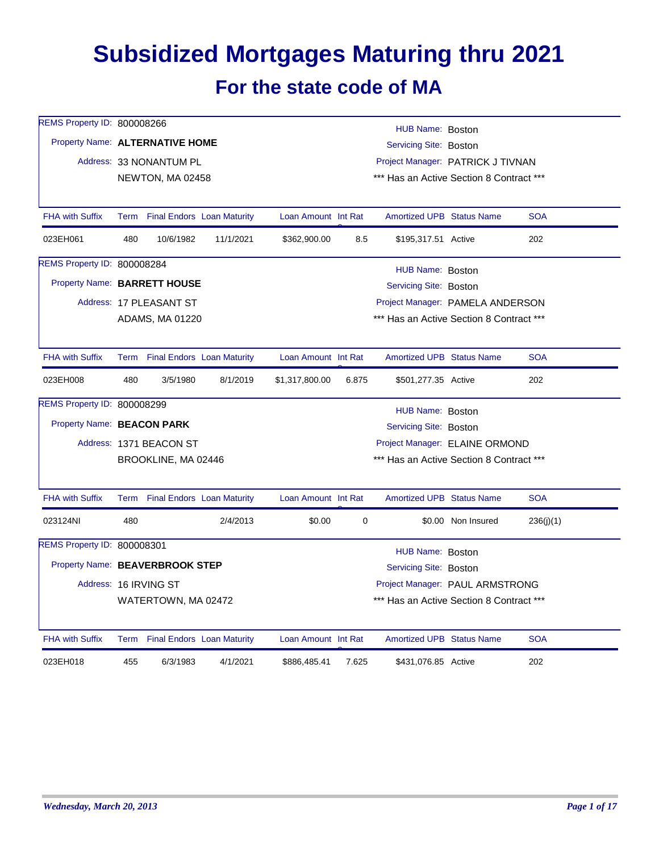## **Subsidized Mortgages Maturing thru 2021 For the state code of MA**

| REMS Property ID: 800008266        |     |                                                             |                                 |                     |       | HUB Name: Boston                         |                    |            |  |
|------------------------------------|-----|-------------------------------------------------------------|---------------------------------|---------------------|-------|------------------------------------------|--------------------|------------|--|
| Property Name: ALTERNATIVE HOME    |     |                                                             |                                 |                     |       | <b>Servicing Site: Boston</b>            |                    |            |  |
|                                    |     | Address: 33 NONANTUM PL                                     |                                 |                     |       | Project Manager: PATRICK J TIVNAN        |                    |            |  |
|                                    |     | NEWTON, MA 02458                                            |                                 |                     |       | *** Has an Active Section 8 Contract *** |                    |            |  |
| <b>FHA with Suffix</b>             |     |                                                             | Term Final Endors Loan Maturity | Loan Amount Int Rat |       | <b>Amortized UPB Status Name</b>         |                    | <b>SOA</b> |  |
| 023EH061                           | 480 | 10/6/1982                                                   | 11/1/2021                       | \$362,900.00        | 8.5   | \$195,317.51 Active                      |                    | 202        |  |
| REMS Property ID: 800008284        |     |                                                             |                                 |                     |       | HUB Name: Boston                         |                    |            |  |
| Property Name: BARRETT HOUSE       |     |                                                             |                                 |                     |       | Servicing Site: Boston                   |                    |            |  |
|                                    |     | Address: 17 PLEASANT ST                                     |                                 |                     |       | Project Manager: PAMELA ANDERSON         |                    |            |  |
|                                    |     | ADAMS, MA 01220<br>*** Has an Active Section 8 Contract *** |                                 |                     |       |                                          |                    |            |  |
| <b>FHA with Suffix</b>             |     |                                                             | Term Final Endors Loan Maturity | Loan Amount Int Rat |       | Amortized UPB Status Name                |                    | <b>SOA</b> |  |
| 023EH008                           | 480 | 3/5/1980                                                    | 8/1/2019                        | \$1,317,800.00      | 6.875 | \$501,277.35 Active                      |                    | 202        |  |
| <b>REMS Property ID: 800008299</b> |     |                                                             |                                 |                     |       | HUB Name: Boston                         |                    |            |  |
| Property Name: BEACON PARK         |     |                                                             |                                 |                     |       | Servicing Site: Boston                   |                    |            |  |
|                                    |     | Address: 1371 BEACON ST                                     |                                 |                     |       | Project Manager: ELAINE ORMOND           |                    |            |  |
|                                    |     | BROOKLINE, MA 02446                                         |                                 |                     |       | *** Has an Active Section 8 Contract *** |                    |            |  |
| <b>FHA with Suffix</b>             |     |                                                             | Term Final Endors Loan Maturity | Loan Amount Int Rat |       | <b>Amortized UPB Status Name</b>         |                    | <b>SOA</b> |  |
| 023124NI                           | 480 |                                                             | 2/4/2013                        | \$0.00              | 0     |                                          | \$0.00 Non Insured | 236(j)(1)  |  |
| REMS Property ID: 800008301        |     |                                                             |                                 |                     |       | HUB Name: Boston                         |                    |            |  |
| Property Name: BEAVERBROOK STEP    |     |                                                             |                                 |                     |       | Servicing Site: Boston                   |                    |            |  |
|                                    |     | Address: 16 IRVING ST                                       |                                 |                     |       | Project Manager: PAUL ARMSTRONG          |                    |            |  |
|                                    |     | WATERTOWN, MA 02472                                         |                                 |                     |       | *** Has an Active Section 8 Contract *** |                    |            |  |
| <b>FHA with Suffix</b>             |     |                                                             | Term Final Endors Loan Maturity | Loan Amount Int Rat |       | <b>Amortized UPB Status Name</b>         |                    | <b>SOA</b> |  |
| 023EH018                           | 455 | 6/3/1983                                                    | 4/1/2021                        | \$886,485.41        | 7.625 | \$431,076.85 Active                      |                    | 202        |  |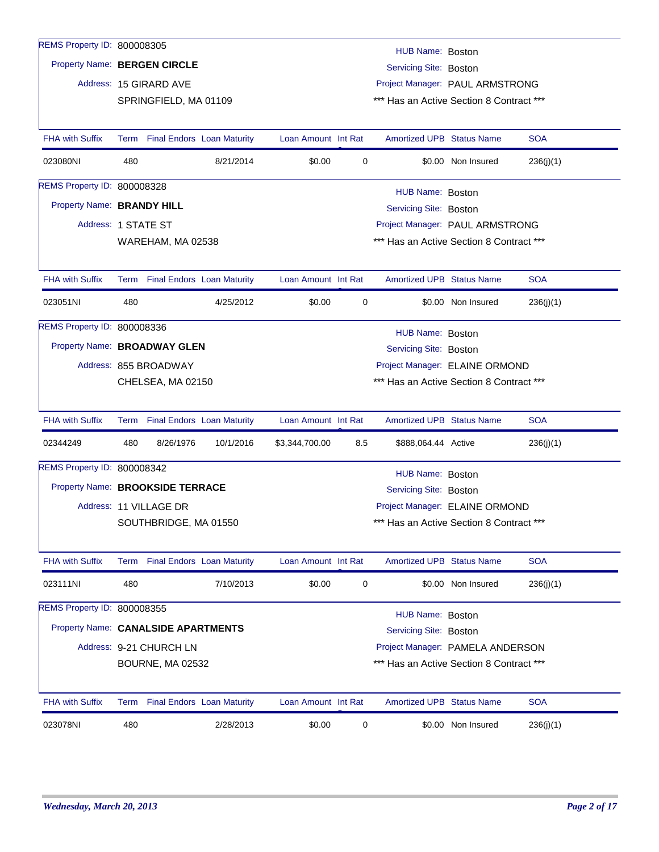| REMS Property ID: 800008305         |                                                               |                                                         |           |                     |     | HUB Name: Boston                         |                    |            |  |  |  |
|-------------------------------------|---------------------------------------------------------------|---------------------------------------------------------|-----------|---------------------|-----|------------------------------------------|--------------------|------------|--|--|--|
| Property Name: BERGEN CIRCLE        |                                                               |                                                         |           |                     |     | Servicing Site: Boston                   |                    |            |  |  |  |
|                                     |                                                               | Address: 15 GIRARD AVE                                  |           |                     |     | Project Manager: PAUL ARMSTRONG          |                    |            |  |  |  |
|                                     |                                                               | SPRINGFIELD, MA 01109                                   |           |                     |     | *** Has an Active Section 8 Contract *** |                    |            |  |  |  |
|                                     |                                                               |                                                         |           |                     |     |                                          |                    |            |  |  |  |
| <b>FHA with Suffix</b>              |                                                               | Term Final Endors Loan Maturity                         |           | Loan Amount Int Rat |     | <b>Amortized UPB Status Name</b>         |                    | <b>SOA</b> |  |  |  |
| 023080NI                            | 480                                                           |                                                         | 8/21/2014 | \$0.00              | 0   |                                          | \$0.00 Non Insured | 236(j)(1)  |  |  |  |
| REMS Property ID: 800008328         |                                                               |                                                         |           |                     |     | HUB Name: Boston                         |                    |            |  |  |  |
| Property Name: BRANDY HILL          |                                                               |                                                         |           |                     |     | Servicing Site: Boston                   |                    |            |  |  |  |
| Address: 1 STATE ST                 |                                                               |                                                         |           |                     |     | Project Manager: PAUL ARMSTRONG          |                    |            |  |  |  |
|                                     | *** Has an Active Section 8 Contract ***<br>WAREHAM, MA 02538 |                                                         |           |                     |     |                                          |                    |            |  |  |  |
|                                     |                                                               |                                                         |           |                     |     |                                          |                    |            |  |  |  |
| <b>FHA with Suffix</b>              |                                                               | Term Final Endors Loan Maturity                         |           | Loan Amount Int Rat |     | <b>Amortized UPB Status Name</b>         |                    | <b>SOA</b> |  |  |  |
| 023051NI                            | 480                                                           |                                                         | 4/25/2012 | \$0.00              | 0   |                                          | \$0.00 Non Insured | 236(j)(1)  |  |  |  |
| REMS Property ID: 800008336         |                                                               |                                                         |           |                     |     | HUB Name: Boston                         |                    |            |  |  |  |
| Property Name: BROADWAY GLEN        |                                                               |                                                         |           |                     |     | Servicing Site: Boston                   |                    |            |  |  |  |
|                                     |                                                               | Project Manager: ELAINE ORMOND<br>Address: 855 BROADWAY |           |                     |     |                                          |                    |            |  |  |  |
|                                     | *** Has an Active Section 8 Contract ***<br>CHELSEA, MA 02150 |                                                         |           |                     |     |                                          |                    |            |  |  |  |
|                                     |                                                               |                                                         |           |                     |     |                                          |                    |            |  |  |  |
| <b>FHA with Suffix</b>              |                                                               | Term Final Endors Loan Maturity                         |           | Loan Amount Int Rat |     | <b>Amortized UPB Status Name</b>         |                    | <b>SOA</b> |  |  |  |
| 02344249                            | 480                                                           | 8/26/1976                                               | 10/1/2016 | \$3,344,700.00      | 8.5 | \$888,064.44 Active                      |                    | 236(j)(1)  |  |  |  |
| REMS Property ID: 800008342         |                                                               |                                                         |           |                     |     | HUB Name: Boston                         |                    |            |  |  |  |
| Property Name: BROOKSIDE TERRACE    |                                                               |                                                         |           |                     |     | Servicing Site: Boston                   |                    |            |  |  |  |
|                                     |                                                               | Address: 11 VILLAGE DR                                  |           |                     |     | Project Manager: ELAINE ORMOND           |                    |            |  |  |  |
|                                     |                                                               | SOUTHBRIDGE, MA 01550                                   |           |                     |     | *** Has an Active Section 8 Contract *** |                    |            |  |  |  |
|                                     |                                                               |                                                         |           |                     |     |                                          |                    |            |  |  |  |
| <b>FHA with Suffix</b>              |                                                               | Term Final Endors Loan Maturity                         |           | Loan Amount Int Rat |     | <b>Amortized UPB Status Name</b>         |                    | <b>SOA</b> |  |  |  |
| 023111NI                            | 480                                                           |                                                         | 7/10/2013 | \$0.00              | 0   |                                          | \$0.00 Non Insured | 236(j)(1)  |  |  |  |
| REMS Property ID: 800008355         |                                                               |                                                         |           |                     |     | HUB Name: Boston                         |                    |            |  |  |  |
| Property Name: CANALSIDE APARTMENTS |                                                               |                                                         |           |                     |     | Servicing Site: Boston                   |                    |            |  |  |  |
|                                     |                                                               | Address: 9-21 CHURCH LN                                 |           |                     |     | Project Manager: PAMELA ANDERSON         |                    |            |  |  |  |
|                                     |                                                               | BOURNE, MA 02532                                        |           |                     |     | *** Has an Active Section 8 Contract *** |                    |            |  |  |  |
|                                     |                                                               |                                                         |           |                     |     |                                          |                    |            |  |  |  |
| <b>FHA with Suffix</b>              |                                                               | Term Final Endors Loan Maturity                         |           | Loan Amount Int Rat |     | <b>Amortized UPB Status Name</b>         |                    | <b>SOA</b> |  |  |  |
| 023078NI                            | 480                                                           |                                                         | 2/28/2013 | \$0.00              | 0   |                                          | \$0.00 Non Insured | 236(j)(1)  |  |  |  |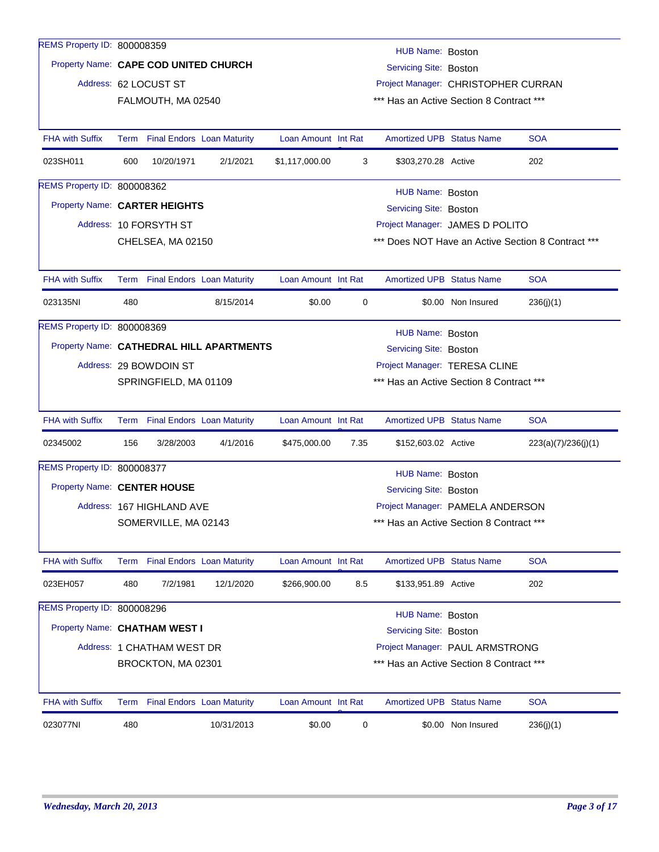| REMS Property ID: 800008359           |                                                               |                           |                                          |                     |      | HUB Name: Boston                         |                    |                                                    |
|---------------------------------------|---------------------------------------------------------------|---------------------------|------------------------------------------|---------------------|------|------------------------------------------|--------------------|----------------------------------------------------|
| Property Name: CAPE COD UNITED CHURCH |                                                               |                           |                                          |                     |      | Servicing Site: Boston                   |                    |                                                    |
|                                       |                                                               | Address: 62 LOCUST ST     |                                          |                     |      | Project Manager: CHRISTOPHER CURRAN      |                    |                                                    |
|                                       |                                                               | FALMOUTH, MA 02540        |                                          |                     |      | *** Has an Active Section 8 Contract *** |                    |                                                    |
|                                       |                                                               |                           |                                          |                     |      |                                          |                    |                                                    |
| <b>FHA with Suffix</b>                |                                                               |                           | Term Final Endors Loan Maturity          | Loan Amount Int Rat |      | <b>Amortized UPB Status Name</b>         |                    | <b>SOA</b>                                         |
| 023SH011                              | 600                                                           | 10/20/1971                | 2/1/2021                                 | \$1,117,000.00      | 3    | \$303,270.28 Active                      |                    | 202                                                |
| <b>REMS Property ID: 800008362</b>    |                                                               |                           |                                          |                     |      | HUB Name: Boston                         |                    |                                                    |
| Property Name: CARTER HEIGHTS         |                                                               |                           |                                          |                     |      | Servicing Site: Boston                   |                    |                                                    |
|                                       |                                                               | Address: 10 FORSYTH ST    |                                          |                     |      | Project Manager: JAMES D POLITO          |                    |                                                    |
|                                       |                                                               | CHELSEA, MA 02150         |                                          |                     |      |                                          |                    | *** Does NOT Have an Active Section 8 Contract *** |
|                                       |                                                               |                           |                                          |                     |      |                                          |                    |                                                    |
| <b>FHA with Suffix</b>                |                                                               |                           | Term Final Endors Loan Maturity          | Loan Amount Int Rat |      | <b>Amortized UPB Status Name</b>         |                    | <b>SOA</b>                                         |
| 023135NI                              | 480                                                           |                           | 8/15/2014                                | \$0.00              | 0    |                                          | \$0.00 Non Insured | 236(j)(1)                                          |
| REMS Property ID: 800008369           |                                                               |                           |                                          |                     |      | HUB Name: Boston                         |                    |                                                    |
|                                       |                                                               |                           | Property Name: CATHEDRAL HILL APARTMENTS |                     |      | Servicing Site: Boston                   |                    |                                                    |
|                                       |                                                               | Address: 29 BOWDOIN ST    |                                          |                     |      | Project Manager: TERESA CLINE            |                    |                                                    |
|                                       |                                                               | SPRINGFIELD, MA 01109     |                                          |                     |      | *** Has an Active Section 8 Contract *** |                    |                                                    |
|                                       |                                                               |                           |                                          |                     |      |                                          |                    |                                                    |
| <b>FHA with Suffix</b>                |                                                               |                           | Term Final Endors Loan Maturity          | Loan Amount Int Rat |      | <b>Amortized UPB Status Name</b>         |                    | <b>SOA</b>                                         |
| 02345002                              | 156                                                           | 3/28/2003                 | 4/1/2016                                 | \$475,000.00        | 7.35 | \$152,603.02 Active                      |                    | 223(a)(7)/236(j)(1)                                |
| REMS Property ID: 800008377           |                                                               |                           |                                          |                     |      | HUB Name: Boston                         |                    |                                                    |
| Property Name: CENTER HOUSE           |                                                               |                           |                                          |                     |      | Servicing Site: Boston                   |                    |                                                    |
|                                       |                                                               | Address: 167 HIGHLAND AVE |                                          |                     |      | Project Manager: PAMELA ANDERSON         |                    |                                                    |
|                                       |                                                               | SOMERVILLE, MA 02143      |                                          |                     |      | *** Has an Active Section 8 Contract *** |                    |                                                    |
|                                       |                                                               |                           |                                          |                     |      |                                          |                    |                                                    |
| <b>FHA with Suffix</b>                | Term                                                          |                           | <b>Final Endors Loan Maturity</b>        | Loan Amount Int Rat |      | <b>Amortized UPB Status Name</b>         |                    | <b>SOA</b>                                         |
| 023EH057                              | 480                                                           | 7/2/1981                  | 12/1/2020                                | \$266,900.00        | 8.5  | \$133,951.89 Active                      |                    | 202                                                |
| REMS Property ID: 800008296           |                                                               |                           |                                          |                     |      | HUB Name: Boston                         |                    |                                                    |
| Property Name: CHATHAM WEST I         |                                                               |                           |                                          |                     |      | Servicing Site: Boston                   |                    |                                                    |
|                                       | Address: 1 CHATHAM WEST DR<br>Project Manager: PAUL ARMSTRONG |                           |                                          |                     |      |                                          |                    |                                                    |
|                                       |                                                               | BROCKTON, MA 02301        |                                          |                     |      | *** Has an Active Section 8 Contract *** |                    |                                                    |
|                                       |                                                               |                           |                                          |                     |      |                                          |                    |                                                    |
| <b>FHA with Suffix</b>                |                                                               |                           | Term Final Endors Loan Maturity          | Loan Amount Int Rat |      | <b>Amortized UPB Status Name</b>         |                    | <b>SOA</b>                                         |
| 023077NI                              | 480                                                           |                           | 10/31/2013                               | \$0.00              | 0    |                                          | \$0.00 Non Insured | 236(j)(1)                                          |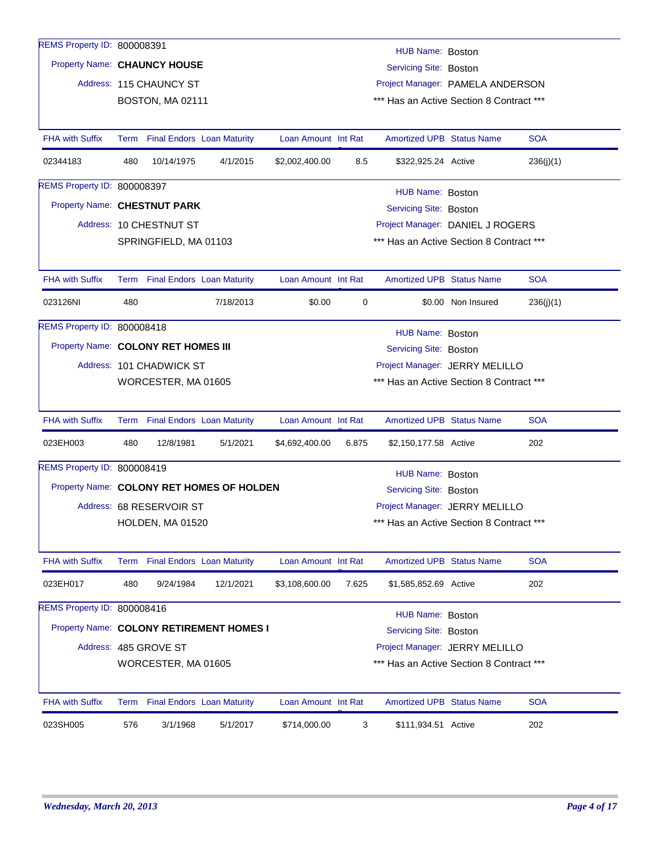| REMS Property ID: 800008391               |                                                                 |                                                                   |           |                     |       | HUB Name: Boston                         |                    |            |  |  |  |  |
|-------------------------------------------|-----------------------------------------------------------------|-------------------------------------------------------------------|-----------|---------------------|-------|------------------------------------------|--------------------|------------|--|--|--|--|
| Property Name: CHAUNCY HOUSE              |                                                                 |                                                                   |           |                     |       | Servicing Site: Boston                   |                    |            |  |  |  |  |
|                                           |                                                                 | Address: 115 CHAUNCY ST                                           |           |                     |       | Project Manager: PAMELA ANDERSON         |                    |            |  |  |  |  |
|                                           |                                                                 | BOSTON, MA 02111                                                  |           |                     |       | *** Has an Active Section 8 Contract *** |                    |            |  |  |  |  |
|                                           |                                                                 |                                                                   |           |                     |       |                                          |                    |            |  |  |  |  |
| <b>FHA with Suffix</b>                    |                                                                 | Term Final Endors Loan Maturity                                   |           | Loan Amount Int Rat |       | <b>Amortized UPB Status Name</b>         |                    | <b>SOA</b> |  |  |  |  |
| 02344183                                  | 480                                                             | 10/14/1975                                                        | 4/1/2015  | \$2,002,400.00      | 8.5   | \$322,925.24 Active                      |                    | 236(j)(1)  |  |  |  |  |
| REMS Property ID: 800008397               |                                                                 |                                                                   |           |                     |       | HUB Name: Boston                         |                    |            |  |  |  |  |
| Property Name: CHESTNUT PARK              |                                                                 |                                                                   |           |                     |       | Servicing Site: Boston                   |                    |            |  |  |  |  |
|                                           |                                                                 | Address: 10 CHESTNUT ST                                           |           |                     |       | Project Manager: DANIEL J ROGERS         |                    |            |  |  |  |  |
|                                           |                                                                 | *** Has an Active Section 8 Contract ***<br>SPRINGFIELD, MA 01103 |           |                     |       |                                          |                    |            |  |  |  |  |
|                                           |                                                                 |                                                                   |           |                     |       |                                          |                    |            |  |  |  |  |
| <b>FHA with Suffix</b>                    |                                                                 | Term Final Endors Loan Maturity                                   |           | Loan Amount Int Rat |       | <b>Amortized UPB Status Name</b>         |                    | <b>SOA</b> |  |  |  |  |
| 023126NI                                  | 480                                                             |                                                                   | 7/18/2013 | \$0.00              | 0     |                                          | \$0.00 Non Insured | 236(j)(1)  |  |  |  |  |
| REMS Property ID: 800008418               |                                                                 |                                                                   |           |                     |       | HUB Name: Boston                         |                    |            |  |  |  |  |
|                                           |                                                                 | Property Name: COLONY RET HOMES III<br>Servicing Site: Boston     |           |                     |       |                                          |                    |            |  |  |  |  |
|                                           |                                                                 | Address: 101 CHADWICK ST<br>Project Manager: JERRY MELILLO        |           |                     |       |                                          |                    |            |  |  |  |  |
|                                           | *** Has an Active Section 8 Contract ***<br>WORCESTER, MA 01605 |                                                                   |           |                     |       |                                          |                    |            |  |  |  |  |
|                                           |                                                                 |                                                                   |           |                     |       |                                          |                    |            |  |  |  |  |
| <b>FHA with Suffix</b>                    |                                                                 | Term Final Endors Loan Maturity                                   |           | Loan Amount Int Rat |       | <b>Amortized UPB Status Name</b>         |                    | <b>SOA</b> |  |  |  |  |
| 023EH003                                  | 480                                                             | 12/8/1981                                                         | 5/1/2021  | \$4,692,400.00      | 6.875 | \$2,150,177.58 Active                    |                    | 202        |  |  |  |  |
| REMS Property ID: 800008419               |                                                                 |                                                                   |           |                     |       | HUB Name: Boston                         |                    |            |  |  |  |  |
| Property Name: COLONY RET HOMES OF HOLDEN |                                                                 |                                                                   |           |                     |       | Servicing Site: Boston                   |                    |            |  |  |  |  |
|                                           |                                                                 | Address: 68 RESERVOIR ST                                          |           |                     |       | Project Manager: JERRY MELILLO           |                    |            |  |  |  |  |
|                                           |                                                                 | HOLDEN, MA 01520                                                  |           |                     |       | *** Has an Active Section 8 Contract *** |                    |            |  |  |  |  |
|                                           |                                                                 |                                                                   |           |                     |       |                                          |                    |            |  |  |  |  |
| <b>FHA with Suffix</b>                    |                                                                 | Term Final Endors Loan Maturity                                   |           | Loan Amount Int Rat |       | Amortized UPB Status Name                |                    | <b>SOA</b> |  |  |  |  |
| 023EH017                                  | 480                                                             | 9/24/1984                                                         | 12/1/2021 | \$3,108,600.00      | 7.625 | \$1,585,852.69 Active                    |                    | 202        |  |  |  |  |
| REMS Property ID: 800008416               |                                                                 |                                                                   |           |                     |       | HUB Name: Boston                         |                    |            |  |  |  |  |
| Property Name: COLONY RETIREMENT HOMES I  |                                                                 |                                                                   |           |                     |       | Servicing Site: Boston                   |                    |            |  |  |  |  |
|                                           |                                                                 | Address: 485 GROVE ST                                             |           |                     |       | Project Manager: JERRY MELILLO           |                    |            |  |  |  |  |
|                                           |                                                                 | WORCESTER, MA 01605                                               |           |                     |       | *** Has an Active Section 8 Contract *** |                    |            |  |  |  |  |
|                                           |                                                                 |                                                                   |           |                     |       |                                          |                    |            |  |  |  |  |
| <b>FHA with Suffix</b>                    |                                                                 | Term Final Endors Loan Maturity                                   |           | Loan Amount Int Rat |       | Amortized UPB Status Name                |                    | <b>SOA</b> |  |  |  |  |
| 023SH005                                  | 576                                                             | 3/1/1968                                                          | 5/1/2017  | \$714,000.00        | 3     | \$111,934.51 Active                      |                    | 202        |  |  |  |  |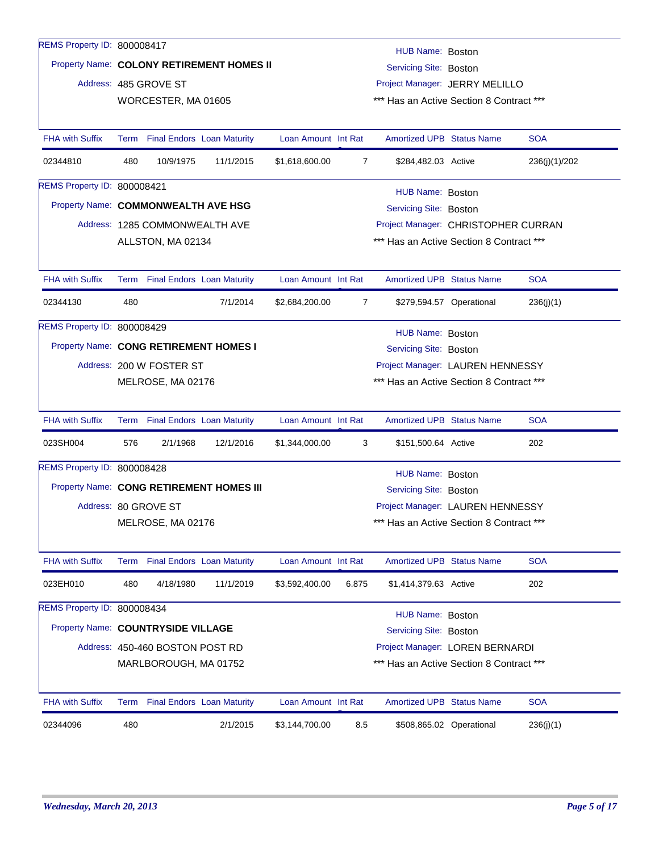| REMS Property ID: 800008417            |                                                               |                                 |                                           |                     |                | HUB Name: Boston                         |                          |               |
|----------------------------------------|---------------------------------------------------------------|---------------------------------|-------------------------------------------|---------------------|----------------|------------------------------------------|--------------------------|---------------|
|                                        |                                                               |                                 | Property Name: COLONY RETIREMENT HOMES II |                     |                | Servicing Site: Boston                   |                          |               |
|                                        | Address: 485 GROVE ST                                         |                                 |                                           |                     |                | Project Manager: JERRY MELILLO           |                          |               |
|                                        |                                                               | WORCESTER, MA 01605             |                                           |                     |                | *** Has an Active Section 8 Contract *** |                          |               |
|                                        |                                                               |                                 |                                           |                     |                |                                          |                          |               |
| <b>FHA with Suffix</b>                 | Term                                                          |                                 | <b>Final Endors Loan Maturity</b>         | Loan Amount Int Rat |                | <b>Amortized UPB Status Name</b>         |                          | <b>SOA</b>    |
| 02344810                               | 480                                                           | 10/9/1975                       | 11/1/2015                                 | \$1,618,600.00      | $\overline{7}$ | \$284,482.03 Active                      |                          | 236(j)(1)/202 |
| REMS Property ID: 800008421            |                                                               |                                 |                                           |                     |                | HUB Name: Boston                         |                          |               |
| Property Name: COMMONWEALTH AVE HSG    |                                                               |                                 |                                           |                     |                | Servicing Site: Boston                   |                          |               |
|                                        |                                                               |                                 | Address: 1285 COMMONWEALTH AVE            |                     |                | Project Manager: CHRISTOPHER CURRAN      |                          |               |
|                                        |                                                               | ALLSTON, MA 02134               |                                           |                     |                | *** Has an Active Section 8 Contract *** |                          |               |
|                                        |                                                               |                                 |                                           |                     |                |                                          |                          |               |
| <b>FHA with Suffix</b>                 |                                                               |                                 | Term Final Endors Loan Maturity           | Loan Amount Int Rat |                | <b>Amortized UPB Status Name</b>         |                          | <b>SOA</b>    |
| 02344130                               | 480                                                           |                                 | 7/1/2014                                  | \$2,684,200.00      | $\overline{7}$ |                                          | \$279,594.57 Operational | 236(j)(1)     |
| REMS Property ID: 800008429            |                                                               |                                 |                                           |                     |                | HUB Name: Boston                         |                          |               |
| Property Name: CONG RETIREMENT HOMES I |                                                               |                                 |                                           |                     |                | Servicing Site: Boston                   |                          |               |
|                                        |                                                               | Address: 200 W FOSTER ST        |                                           |                     |                | Project Manager: LAUREN HENNESSY         |                          |               |
|                                        | MELROSE, MA 02176<br>*** Has an Active Section 8 Contract *** |                                 |                                           |                     |                |                                          |                          |               |
|                                        |                                                               |                                 |                                           |                     |                |                                          |                          |               |
| <b>FHA with Suffix</b>                 |                                                               |                                 | Term Final Endors Loan Maturity           | Loan Amount Int Rat |                | Amortized UPB Status Name                |                          | <b>SOA</b>    |
| 023SH004                               | 576                                                           | 2/1/1968                        | 12/1/2016                                 | \$1,344,000.00      | 3              | \$151,500.64 Active                      |                          | 202           |
| REMS Property ID: 800008428            |                                                               |                                 |                                           |                     |                | HUB Name: Boston                         |                          |               |
|                                        |                                                               |                                 | Property Name: CONG RETIREMENT HOMES III  |                     |                | Servicing Site: Boston                   |                          |               |
|                                        | Address: 80 GROVE ST                                          |                                 |                                           |                     |                | Project Manager: LAUREN HENNESSY         |                          |               |
|                                        |                                                               | MELROSE, MA 02176               |                                           |                     |                | *** Has an Active Section 8 Contract *** |                          |               |
|                                        |                                                               |                                 |                                           |                     |                |                                          |                          |               |
| <b>FHA with Suffix</b>                 | Term                                                          |                                 | <b>Final Endors Loan Maturity</b>         | Loan Amount Int Rat |                | Amortized UPB Status Name                |                          | <b>SOA</b>    |
| 023EH010                               | 480                                                           | 4/18/1980                       | 11/1/2019                                 | \$3,592,400.00      | 6.875          | \$1,414,379.63 Active                    |                          | 202           |
| REMS Property ID: 800008434            |                                                               |                                 |                                           |                     |                | HUB Name: Boston                         |                          |               |
| Property Name: COUNTRYSIDE VILLAGE     |                                                               |                                 |                                           |                     |                | Servicing Site: Boston                   |                          |               |
|                                        |                                                               | Address: 450-460 BOSTON POST RD |                                           |                     |                | Project Manager: LOREN BERNARDI          |                          |               |
|                                        |                                                               | MARLBOROUGH, MA 01752           |                                           |                     |                | *** Has an Active Section 8 Contract *** |                          |               |
|                                        |                                                               |                                 |                                           |                     |                |                                          |                          |               |
| <b>FHA with Suffix</b>                 |                                                               |                                 | Term Final Endors Loan Maturity           | Loan Amount Int Rat |                | <b>Amortized UPB Status Name</b>         |                          | <b>SOA</b>    |
| 02344096                               | 480                                                           |                                 | 2/1/2015                                  | \$3,144,700.00      | 8.5            |                                          | \$508,865.02 Operational | 236(j)(1)     |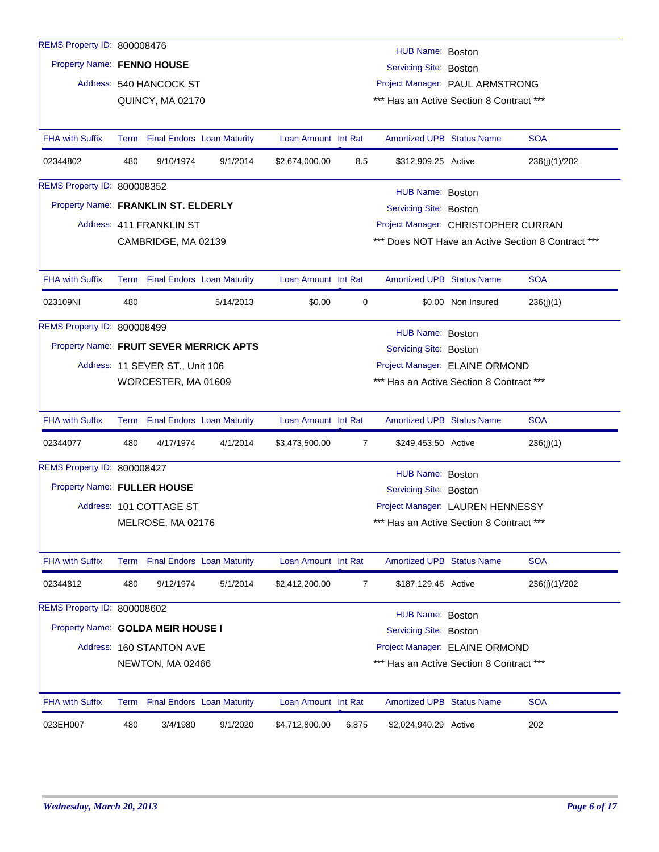| REMS Property ID: 800008476             |      |                                 |                                   |                     |       | HUB Name: Boston                         |                    |                                                    |
|-----------------------------------------|------|---------------------------------|-----------------------------------|---------------------|-------|------------------------------------------|--------------------|----------------------------------------------------|
| Property Name: FENNO HOUSE              |      |                                 |                                   |                     |       | Servicing Site: Boston                   |                    |                                                    |
|                                         |      | Address: 540 HANCOCK ST         |                                   |                     |       | Project Manager: PAUL ARMSTRONG          |                    |                                                    |
|                                         |      | QUINCY, MA 02170                |                                   |                     |       | *** Has an Active Section 8 Contract *** |                    |                                                    |
|                                         |      |                                 |                                   |                     |       |                                          |                    |                                                    |
| <b>FHA with Suffix</b>                  |      | Term Final Endors Loan Maturity |                                   | Loan Amount Int Rat |       | <b>Amortized UPB Status Name</b>         |                    | <b>SOA</b>                                         |
| 02344802                                | 480  | 9/10/1974                       | 9/1/2014                          | \$2,674,000.00      | 8.5   | \$312,909.25 Active                      |                    | 236(j)(1)/202                                      |
| <b>REMS Property ID: 800008352</b>      |      |                                 |                                   |                     |       | HUB Name: Boston                         |                    |                                                    |
| Property Name: FRANKLIN ST. ELDERLY     |      |                                 |                                   |                     |       | Servicing Site: Boston                   |                    |                                                    |
|                                         |      | Address: 411 FRANKLIN ST        |                                   |                     |       | Project Manager: CHRISTOPHER CURRAN      |                    |                                                    |
|                                         |      | CAMBRIDGE, MA 02139             |                                   |                     |       |                                          |                    | *** Does NOT Have an Active Section 8 Contract *** |
|                                         |      |                                 |                                   |                     |       |                                          |                    |                                                    |
| <b>FHA with Suffix</b>                  |      | Term Final Endors Loan Maturity |                                   | Loan Amount Int Rat |       | <b>Amortized UPB Status Name</b>         |                    | <b>SOA</b>                                         |
| 023109NI                                | 480  |                                 | 5/14/2013                         | \$0.00              | 0     |                                          | \$0.00 Non Insured | 236(j)(1)                                          |
| REMS Property ID: 800008499             |      |                                 |                                   |                     |       | HUB Name: Boston                         |                    |                                                    |
| Property Name: FRUIT SEVER MERRICK APTS |      |                                 |                                   |                     |       | Servicing Site: Boston                   |                    |                                                    |
|                                         |      | Address: 11 SEVER ST., Unit 106 |                                   |                     |       | Project Manager: ELAINE ORMOND           |                    |                                                    |
|                                         |      | WORCESTER, MA 01609             |                                   |                     |       | *** Has an Active Section 8 Contract *** |                    |                                                    |
|                                         |      |                                 |                                   |                     |       |                                          |                    |                                                    |
| <b>FHA with Suffix</b>                  |      | Term Final Endors Loan Maturity |                                   | Loan Amount Int Rat |       | <b>Amortized UPB Status Name</b>         |                    | <b>SOA</b>                                         |
| 02344077                                | 480  | 4/17/1974                       | 4/1/2014                          | \$3,473,500.00      | 7     | \$249,453.50 Active                      |                    | 236(j)(1)                                          |
| REMS Property ID: 800008427             |      |                                 |                                   |                     |       | HUB Name: Boston                         |                    |                                                    |
| Property Name: FULLER HOUSE             |      |                                 |                                   |                     |       | Servicing Site: Boston                   |                    |                                                    |
|                                         |      | Address: 101 COTTAGE ST         |                                   |                     |       | Project Manager: LAUREN HENNESSY         |                    |                                                    |
|                                         |      | MELROSE, MA 02176               |                                   |                     |       | *** Has an Active Section 8 Contract *** |                    |                                                    |
|                                         |      |                                 |                                   |                     |       |                                          |                    |                                                    |
| <b>FHA with Suffix</b>                  | Term |                                 | <b>Final Endors Loan Maturity</b> | Loan Amount Int Rat |       | Amortized UPB Status Name                |                    | <b>SOA</b>                                         |
| 02344812                                | 480  | 9/12/1974                       | 5/1/2014                          | \$2,412,200.00      | 7     | \$187,129.46 Active                      |                    | 236(j)(1)/202                                      |
| REMS Property ID: 800008602             |      |                                 |                                   |                     |       | HUB Name: Boston                         |                    |                                                    |
| Property Name: GOLDA MEIR HOUSE I       |      |                                 |                                   |                     |       | Servicing Site: Boston                   |                    |                                                    |
|                                         |      | Address: 160 STANTON AVE        |                                   |                     |       | Project Manager: ELAINE ORMOND           |                    |                                                    |
|                                         |      | NEWTON, MA 02466                |                                   |                     |       | *** Has an Active Section 8 Contract *** |                    |                                                    |
|                                         |      |                                 |                                   |                     |       |                                          |                    |                                                    |
| <b>FHA with Suffix</b>                  | Term |                                 | <b>Final Endors Loan Maturity</b> | Loan Amount Int Rat |       | <b>Amortized UPB Status Name</b>         |                    | <b>SOA</b>                                         |
| 023EH007                                | 480  | 3/4/1980                        | 9/1/2020                          | \$4,712,800.00      | 6.875 | \$2,024,940.29 Active                    |                    | 202                                                |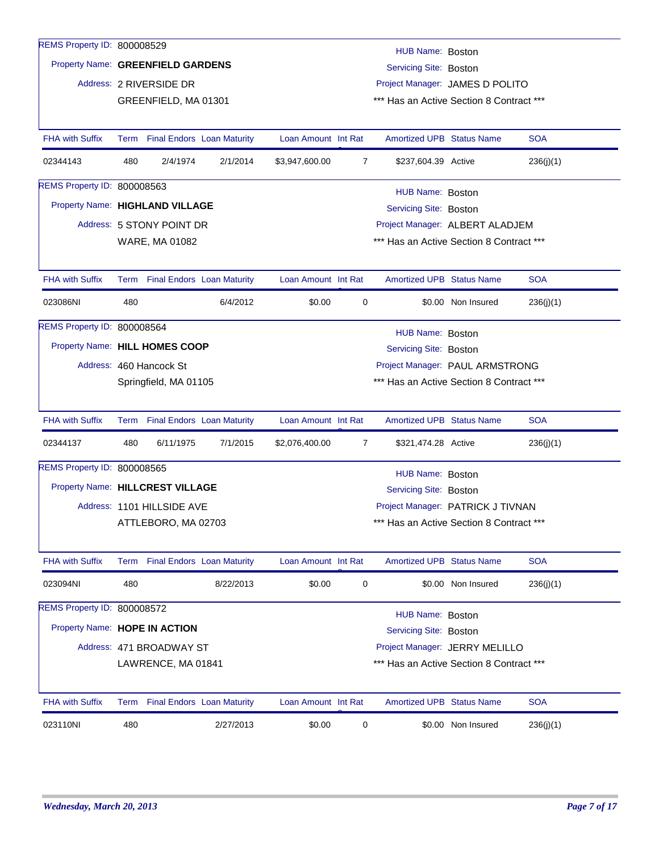| REMS Property ID: 800008529        |                                                                   |                                                            |                                 |                     |                | HUB Name: Boston                         |                    |            |  |  |  |
|------------------------------------|-------------------------------------------------------------------|------------------------------------------------------------|---------------------------------|---------------------|----------------|------------------------------------------|--------------------|------------|--|--|--|
| Property Name: GREENFIELD GARDENS  |                                                                   |                                                            |                                 |                     |                | Servicing Site: Boston                   |                    |            |  |  |  |
|                                    |                                                                   | Address: 2 RIVERSIDE DR                                    |                                 |                     |                | Project Manager: JAMES D POLITO          |                    |            |  |  |  |
|                                    |                                                                   | GREENFIELD, MA 01301                                       |                                 |                     |                | *** Has an Active Section 8 Contract *** |                    |            |  |  |  |
|                                    |                                                                   |                                                            |                                 |                     |                |                                          |                    |            |  |  |  |
| <b>FHA with Suffix</b>             |                                                                   |                                                            | Term Final Endors Loan Maturity | Loan Amount Int Rat |                | <b>Amortized UPB Status Name</b>         |                    | <b>SOA</b> |  |  |  |
| 02344143                           | 480                                                               | 2/4/1974                                                   | 2/1/2014                        | \$3,947,600.00      | $\overline{7}$ | \$237,604.39 Active                      |                    | 236(j)(1)  |  |  |  |
| <b>REMS Property ID: 800008563</b> |                                                                   |                                                            |                                 |                     |                | HUB Name: Boston                         |                    |            |  |  |  |
| Property Name: HIGHLAND VILLAGE    |                                                                   |                                                            |                                 |                     |                | Servicing Site: Boston                   |                    |            |  |  |  |
|                                    |                                                                   | Address: 5 STONY POINT DR                                  |                                 |                     |                | Project Manager: ALBERT ALADJEM          |                    |            |  |  |  |
|                                    |                                                                   | WARE, MA 01082                                             |                                 |                     |                | *** Has an Active Section 8 Contract *** |                    |            |  |  |  |
|                                    |                                                                   |                                                            |                                 |                     |                |                                          |                    |            |  |  |  |
| <b>FHA with Suffix</b>             |                                                                   |                                                            | Term Final Endors Loan Maturity | Loan Amount Int Rat |                | <b>Amortized UPB Status Name</b>         |                    | <b>SOA</b> |  |  |  |
| 023086NI                           | 480                                                               |                                                            | 6/4/2012                        | \$0.00              | 0              |                                          | \$0.00 Non Insured | 236(j)(1)  |  |  |  |
| REMS Property ID: 800008564        |                                                                   |                                                            |                                 |                     |                | HUB Name: Boston                         |                    |            |  |  |  |
|                                    |                                                                   | Property Name: HILL HOMES COOP<br>Servicing Site: Boston   |                                 |                     |                |                                          |                    |            |  |  |  |
|                                    |                                                                   | Address: 460 Hancock St<br>Project Manager: PAUL ARMSTRONG |                                 |                     |                |                                          |                    |            |  |  |  |
|                                    | *** Has an Active Section 8 Contract ***<br>Springfield, MA 01105 |                                                            |                                 |                     |                |                                          |                    |            |  |  |  |
|                                    |                                                                   |                                                            |                                 |                     |                |                                          |                    |            |  |  |  |
| <b>FHA with Suffix</b>             |                                                                   |                                                            | Term Final Endors Loan Maturity | Loan Amount Int Rat |                | <b>Amortized UPB Status Name</b>         |                    | <b>SOA</b> |  |  |  |
| 02344137                           | 480                                                               | 6/11/1975                                                  | 7/1/2015                        | \$2,076,400.00      | 7              | \$321,474.28 Active                      |                    | 236(j)(1)  |  |  |  |
| REMS Property ID: 800008565        |                                                                   |                                                            |                                 |                     |                | HUB Name: Boston                         |                    |            |  |  |  |
| Property Name: HILLCREST VILLAGE   |                                                                   |                                                            |                                 |                     |                | Servicing Site: Boston                   |                    |            |  |  |  |
|                                    |                                                                   | Address: 1101 HILLSIDE AVE                                 |                                 |                     |                | Project Manager: PATRICK J TIVNAN        |                    |            |  |  |  |
|                                    |                                                                   | ATTLEBORO, MA 02703                                        |                                 |                     |                | *** Has an Active Section 8 Contract *** |                    |            |  |  |  |
|                                    |                                                                   |                                                            |                                 |                     |                |                                          |                    |            |  |  |  |
| <b>FHA with Suffix</b>             |                                                                   |                                                            | Term Final Endors Loan Maturity | Loan Amount Int Rat |                | <b>Amortized UPB Status Name</b>         |                    | <b>SOA</b> |  |  |  |
| 023094NI                           | 480                                                               |                                                            | 8/22/2013                       | \$0.00              | 0              |                                          | \$0.00 Non Insured | 236(j)(1)  |  |  |  |
| REMS Property ID: 800008572        |                                                                   |                                                            |                                 |                     |                | HUB Name: Boston                         |                    |            |  |  |  |
| Property Name: HOPE IN ACTION      |                                                                   |                                                            |                                 |                     |                | Servicing Site: Boston                   |                    |            |  |  |  |
|                                    |                                                                   | Address: 471 BROADWAY ST                                   |                                 |                     |                | Project Manager: JERRY MELILLO           |                    |            |  |  |  |
|                                    |                                                                   | LAWRENCE, MA 01841                                         |                                 |                     |                | *** Has an Active Section 8 Contract *** |                    |            |  |  |  |
|                                    |                                                                   |                                                            |                                 |                     |                |                                          |                    |            |  |  |  |
| <b>FHA with Suffix</b>             |                                                                   |                                                            | Term Final Endors Loan Maturity | Loan Amount Int Rat |                | <b>Amortized UPB Status Name</b>         |                    | <b>SOA</b> |  |  |  |
| 023110NI                           | 480                                                               |                                                            | 2/27/2013                       | \$0.00              | 0              |                                          | \$0.00 Non Insured | 236(j)(1)  |  |  |  |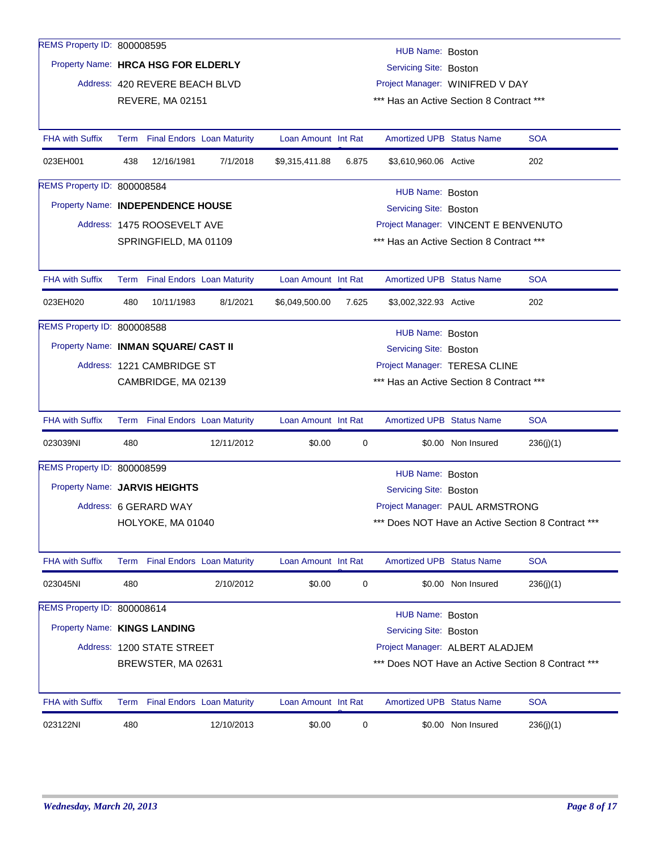| <b>REMS Property ID: 800008595</b>   |                                                                          |                                 |                                   |                     |       |                                          |                    |                                                |
|--------------------------------------|--------------------------------------------------------------------------|---------------------------------|-----------------------------------|---------------------|-------|------------------------------------------|--------------------|------------------------------------------------|
| Property Name: HRCA HSG FOR ELDERLY  |                                                                          |                                 |                                   |                     |       | HUB Name: Boston                         |                    |                                                |
|                                      |                                                                          |                                 |                                   |                     |       | Servicing Site: Boston                   |                    |                                                |
|                                      |                                                                          | Address: 420 REVERE BEACH BLVD  |                                   |                     |       | Project Manager: WINIFRED V DAY          |                    |                                                |
|                                      |                                                                          | REVERE, MA 02151                |                                   |                     |       | *** Has an Active Section 8 Contract *** |                    |                                                |
| <b>FHA with Suffix</b>               |                                                                          | Term Final Endors Loan Maturity |                                   | Loan Amount Int Rat |       | <b>Amortized UPB Status Name</b>         |                    | <b>SOA</b>                                     |
| 023EH001                             | 438                                                                      | 12/16/1981                      | 7/1/2018                          | \$9,315,411.88      | 6.875 | \$3,610,960.06 Active                    |                    | 202                                            |
| REMS Property ID: 800008584          |                                                                          |                                 |                                   |                     |       | HUB Name: Boston                         |                    |                                                |
| Property Name: INDEPENDENCE HOUSE    |                                                                          |                                 |                                   |                     |       | Servicing Site: Boston                   |                    |                                                |
|                                      |                                                                          | Address: 1475 ROOSEVELT AVE     |                                   |                     |       | Project Manager: VINCENT E BENVENUTO     |                    |                                                |
|                                      |                                                                          | SPRINGFIELD, MA 01109           |                                   |                     |       | *** Has an Active Section 8 Contract *** |                    |                                                |
|                                      |                                                                          |                                 |                                   |                     |       |                                          |                    |                                                |
| <b>FHA with Suffix</b>               |                                                                          | Term Final Endors Loan Maturity |                                   | Loan Amount Int Rat |       | <b>Amortized UPB Status Name</b>         |                    | <b>SOA</b>                                     |
| 023EH020                             | 480                                                                      | 10/11/1983                      | 8/1/2021                          | \$6,049,500.00      | 7.625 | \$3,002,322.93 Active                    |                    | 202                                            |
| <b>REMS Property ID: 800008588</b>   |                                                                          |                                 |                                   |                     |       | HUB Name: Boston                         |                    |                                                |
| Property Name: INMAN SQUARE/ CAST II |                                                                          |                                 |                                   |                     |       | Servicing Site: Boston                   |                    |                                                |
|                                      |                                                                          | Address: 1221 CAMBRIDGE ST      |                                   |                     |       | Project Manager: TERESA CLINE            |                    |                                                |
|                                      |                                                                          | CAMBRIDGE, MA 02139             |                                   |                     |       | *** Has an Active Section 8 Contract *** |                    |                                                |
|                                      |                                                                          |                                 |                                   |                     |       |                                          |                    |                                                |
| <b>FHA with Suffix</b>               |                                                                          | Term Final Endors Loan Maturity |                                   | Loan Amount Int Rat |       | <b>Amortized UPB Status Name</b>         |                    | <b>SOA</b>                                     |
| 023039NI                             | 480                                                                      |                                 | 12/11/2012                        | \$0.00              | 0     |                                          | \$0.00 Non Insured | 236(j)(1)                                      |
| REMS Property ID: 800008599          |                                                                          |                                 |                                   |                     |       | HUB Name: Boston                         |                    |                                                |
| Property Name: JARVIS HEIGHTS        |                                                                          |                                 |                                   |                     |       | Servicing Site: Boston                   |                    |                                                |
|                                      |                                                                          | Address: 6 GERARD WAY           |                                   |                     |       | Project Manager: PAUL ARMSTRONG          |                    |                                                |
|                                      |                                                                          | HOLYOKE, MA 01040               |                                   |                     |       |                                          |                    | Does NOT Have an Active Section 8 Contract *** |
|                                      |                                                                          |                                 |                                   |                     |       |                                          |                    |                                                |
| <b>FHA with Suffix</b>               |                                                                          | Term Final Endors Loan Maturity |                                   | Loan Amount Int Rat |       | <b>Amortized UPB Status Name</b>         |                    | <b>SOA</b>                                     |
| 023045NI                             | 480                                                                      |                                 | 2/10/2012                         | \$0.00              | 0     |                                          | \$0.00 Non Insured | 236(j)(1)                                      |
| REMS Property ID: 800008614          |                                                                          |                                 |                                   |                     |       | HUB Name: Boston                         |                    |                                                |
| Property Name: KINGS LANDING         |                                                                          |                                 |                                   |                     |       | Servicing Site: Boston                   |                    |                                                |
|                                      |                                                                          | Address: 1200 STATE STREET      |                                   |                     |       | Project Manager: ALBERT ALADJEM          |                    |                                                |
|                                      | *** Does NOT Have an Active Section 8 Contract ***<br>BREWSTER, MA 02631 |                                 |                                   |                     |       |                                          |                    |                                                |
|                                      |                                                                          |                                 |                                   |                     |       |                                          |                    |                                                |
| <b>FHA with Suffix</b>               | Term                                                                     |                                 | <b>Final Endors Loan Maturity</b> | Loan Amount Int Rat |       | Amortized UPB Status Name                |                    | <b>SOA</b>                                     |
| 023122NI                             | 480                                                                      |                                 | 12/10/2013                        | \$0.00              | 0     |                                          | \$0.00 Non Insured | 236(j)(1)                                      |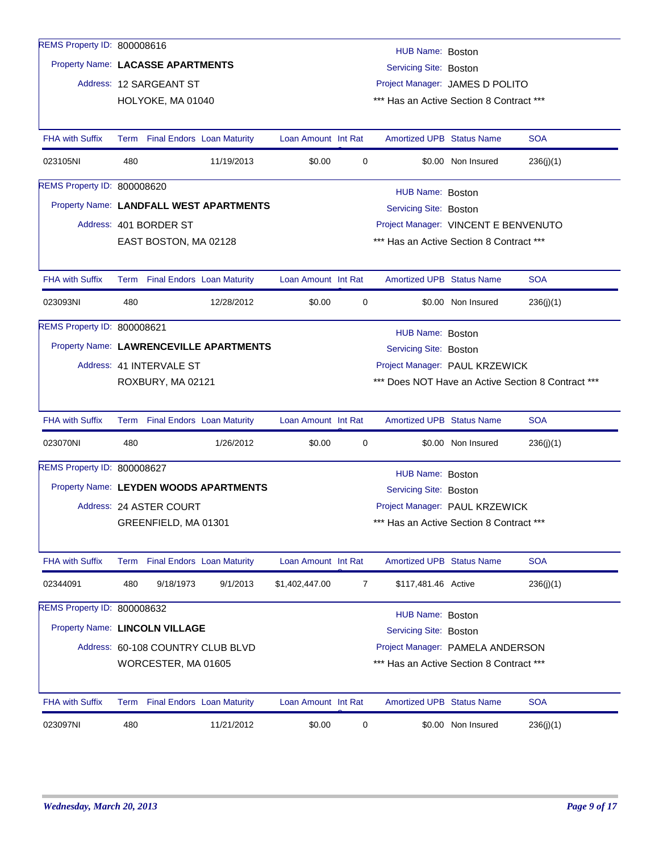| REMS Property ID: 800008616       |     |                                 |                                         |                     |   | HUB Name: Boston                                         |                    |                                                    |
|-----------------------------------|-----|---------------------------------|-----------------------------------------|---------------------|---|----------------------------------------------------------|--------------------|----------------------------------------------------|
| Property Name: LACASSE APARTMENTS |     |                                 |                                         |                     |   | Servicing Site: Boston                                   |                    |                                                    |
|                                   |     | Address: 12 SARGEANT ST         |                                         |                     |   | Project Manager: JAMES D POLITO                          |                    |                                                    |
|                                   |     | HOLYOKE, MA 01040               |                                         |                     |   | *** Has an Active Section 8 Contract ***                 |                    |                                                    |
|                                   |     |                                 |                                         |                     |   |                                                          |                    |                                                    |
| <b>FHA with Suffix</b>            |     | Term Final Endors Loan Maturity |                                         | Loan Amount Int Rat |   | <b>Amortized UPB Status Name</b>                         |                    | <b>SOA</b>                                         |
| 023105NI                          | 480 |                                 | 11/19/2013                              | \$0.00              | 0 |                                                          | \$0.00 Non Insured | 236(j)(1)                                          |
| REMS Property ID: 800008620       |     |                                 |                                         |                     |   | HUB Name: Boston                                         |                    |                                                    |
|                                   |     |                                 | Property Name: LANDFALL WEST APARTMENTS |                     |   | Servicing Site: Boston                                   |                    |                                                    |
|                                   |     | Address: 401 BORDER ST          |                                         |                     |   | Project Manager: VINCENT E BENVENUTO                     |                    |                                                    |
|                                   |     | EAST BOSTON, MA 02128           |                                         |                     |   | *** Has an Active Section 8 Contract ***                 |                    |                                                    |
|                                   |     |                                 |                                         |                     |   |                                                          |                    |                                                    |
| <b>FHA with Suffix</b>            |     | Term Final Endors Loan Maturity |                                         | Loan Amount Int Rat |   | <b>Amortized UPB Status Name</b>                         |                    | <b>SOA</b>                                         |
| 023093NI                          | 480 |                                 | 12/28/2012                              | \$0.00              | 0 |                                                          | \$0.00 Non Insured | 236(j)(1)                                          |
| REMS Property ID: 800008621       |     |                                 |                                         |                     |   | HUB Name: Boston                                         |                    |                                                    |
|                                   |     |                                 | Property Name: LAWRENCEVILLE APARTMENTS |                     |   | Servicing Site: Boston                                   |                    |                                                    |
|                                   |     | Address: 41 INTERVALE ST        |                                         |                     |   | Project Manager: PAUL KRZEWICK                           |                    |                                                    |
|                                   |     | ROXBURY, MA 02121               |                                         |                     |   |                                                          |                    | *** Does NOT Have an Active Section 8 Contract *** |
|                                   |     |                                 |                                         |                     |   |                                                          |                    |                                                    |
| <b>FHA with Suffix</b>            |     | Term Final Endors Loan Maturity |                                         | Loan Amount Int Rat |   | <b>Amortized UPB Status Name</b>                         |                    | <b>SOA</b>                                         |
| 023070NI                          | 480 |                                 | 1/26/2012                               | \$0.00              | 0 |                                                          | \$0.00 Non Insured | 236(j)(1)                                          |
| REMS Property ID: 800008627       |     |                                 |                                         |                     |   | HUB Name: Boston                                         |                    |                                                    |
|                                   |     |                                 | Property Name: LEYDEN WOODS APARTMENTS  |                     |   | Servicing Site: Boston                                   |                    |                                                    |
|                                   |     | Address: 24 ASTER COURT         |                                         |                     |   | Project Manager: PAUL KRZEWICK                           |                    |                                                    |
|                                   |     | GREENFIELD, MA 01301            |                                         |                     |   | *** Has an Active Section 8 Contract ***                 |                    |                                                    |
|                                   |     |                                 |                                         |                     |   |                                                          |                    |                                                    |
| <b>FHA with Suffix</b>            |     | Term Final Endors Loan Maturity |                                         | Loan Amount Int Rat |   | Amortized UPB Status Name                                |                    | <b>SOA</b>                                         |
| 02344091                          | 480 | 9/18/1973                       | 9/1/2013                                | \$1,402,447.00      | 7 | \$117,481.46 Active                                      |                    | 236(j)(1)                                          |
| REMS Property ID: 800008632       |     |                                 |                                         |                     |   |                                                          |                    |                                                    |
| Property Name: LINCOLN VILLAGE    |     |                                 |                                         |                     |   | <b>HUB Name: Boston</b><br><b>Servicing Site: Boston</b> |                    |                                                    |
|                                   |     |                                 | Address: 60-108 COUNTRY CLUB BLVD       |                     |   | Project Manager: PAMELA ANDERSON                         |                    |                                                    |
|                                   |     | WORCESTER, MA 01605             |                                         |                     |   | *** Has an Active Section 8 Contract ***                 |                    |                                                    |
|                                   |     |                                 |                                         |                     |   |                                                          |                    |                                                    |
| <b>FHA with Suffix</b>            |     | Term Final Endors Loan Maturity |                                         | Loan Amount Int Rat |   | <b>Amortized UPB Status Name</b>                         |                    | <b>SOA</b>                                         |
| 023097NI                          | 480 |                                 | 11/21/2012                              | \$0.00              | 0 |                                                          | \$0.00 Non Insured | 236(j)(1)                                          |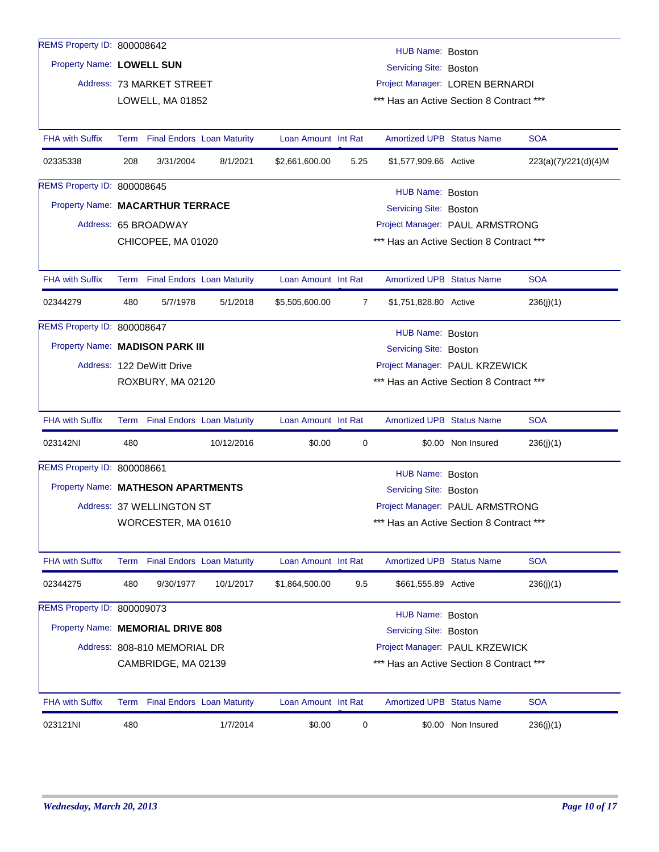| REMS Property ID: 800008642        |                                                                 |                              |                                   |                     |                |                                          |                    |                      |  |  |
|------------------------------------|-----------------------------------------------------------------|------------------------------|-----------------------------------|---------------------|----------------|------------------------------------------|--------------------|----------------------|--|--|
|                                    |                                                                 |                              |                                   |                     |                | HUB Name: Boston                         |                    |                      |  |  |
| Property Name: LOWELL SUN          |                                                                 |                              |                                   |                     |                | Servicing Site: Boston                   |                    |                      |  |  |
|                                    |                                                                 | Address: 73 MARKET STREET    |                                   |                     |                | Project Manager: LOREN BERNARDI          |                    |                      |  |  |
|                                    |                                                                 | LOWELL, MA 01852             |                                   |                     |                | *** Has an Active Section 8 Contract *** |                    |                      |  |  |
| <b>FHA with Suffix</b>             | Term                                                            |                              | <b>Final Endors Loan Maturity</b> | Loan Amount Int Rat |                | <b>Amortized UPB Status Name</b>         |                    | <b>SOA</b>           |  |  |
| 02335338                           | 208                                                             | 3/31/2004                    | 8/1/2021                          | \$2,661,600.00      | 5.25           | \$1,577,909.66 Active                    |                    | 223(a)(7)/221(d)(4)M |  |  |
| <b>REMS Property ID: 800008645</b> |                                                                 |                              |                                   |                     |                | HUB Name: Boston                         |                    |                      |  |  |
| Property Name: MACARTHUR TERRACE   |                                                                 |                              |                                   |                     |                | Servicing Site: Boston                   |                    |                      |  |  |
|                                    |                                                                 | Address: 65 BROADWAY         |                                   |                     |                | Project Manager: PAUL ARMSTRONG          |                    |                      |  |  |
|                                    |                                                                 | CHICOPEE, MA 01020           |                                   |                     |                | *** Has an Active Section 8 Contract *** |                    |                      |  |  |
|                                    |                                                                 |                              |                                   |                     |                |                                          |                    |                      |  |  |
| <b>FHA with Suffix</b>             |                                                                 |                              | Term Final Endors Loan Maturity   | Loan Amount Int Rat |                | <b>Amortized UPB Status Name</b>         |                    | <b>SOA</b>           |  |  |
| 02344279                           | 480                                                             | 5/7/1978                     | 5/1/2018                          | \$5,505,600.00      | $\overline{7}$ | \$1,751,828.80 Active                    |                    | 236(j)(1)            |  |  |
| REMS Property ID: 800008647        |                                                                 |                              |                                   |                     |                | HUB Name: Boston                         |                    |                      |  |  |
| Property Name: MADISON PARK III    |                                                                 |                              |                                   |                     |                | Servicing Site: Boston                   |                    |                      |  |  |
|                                    |                                                                 | Address: 122 DeWitt Drive    |                                   |                     |                | Project Manager: PAUL KRZEWICK           |                    |                      |  |  |
|                                    |                                                                 | ROXBURY, MA 02120            |                                   |                     |                | *** Has an Active Section 8 Contract *** |                    |                      |  |  |
|                                    |                                                                 |                              |                                   |                     |                |                                          |                    |                      |  |  |
| <b>FHA with Suffix</b>             |                                                                 |                              | Term Final Endors Loan Maturity   | Loan Amount Int Rat |                | <b>Amortized UPB Status Name</b>         |                    | <b>SOA</b>           |  |  |
| 023142NI                           | 480                                                             |                              | 10/12/2016                        | \$0.00              | 0              |                                          | \$0.00 Non Insured | 236(j)(1)            |  |  |
| REMS Property ID: 800008661        |                                                                 |                              |                                   |                     |                | HUB Name: Boston                         |                    |                      |  |  |
| Property Name: MATHESON APARTMENTS |                                                                 |                              |                                   |                     |                | Servicing Site: Boston                   |                    |                      |  |  |
|                                    |                                                                 | Address: 37 WELLINGTON ST    |                                   |                     |                | Project Manager: PAUL ARMSTRONG          |                    |                      |  |  |
|                                    |                                                                 | WORCESTER, MA 01610          |                                   |                     |                | *** Has an Active Section 8 Contract *** |                    |                      |  |  |
|                                    |                                                                 |                              |                                   |                     |                |                                          |                    |                      |  |  |
| <b>FHA with Suffix</b>             |                                                                 |                              | Term Final Endors Loan Maturity   | Loan Amount Int Rat |                | <b>Amortized UPB Status Name</b>         |                    | <b>SOA</b>           |  |  |
| 02344275                           | 480                                                             | 9/30/1977                    | 10/1/2017                         | \$1,864,500.00      | 9.5            | \$661,555.89 Active                      |                    | 236(j)(1)            |  |  |
| REMS Property ID: 800009073        |                                                                 |                              |                                   |                     |                | HUB Name: Boston                         |                    |                      |  |  |
| Property Name: MEMORIAL DRIVE 808  |                                                                 |                              |                                   |                     |                | <b>Servicing Site: Boston</b>            |                    |                      |  |  |
|                                    |                                                                 | Address: 808-810 MEMORIAL DR |                                   |                     |                | Project Manager: PAUL KRZEWICK           |                    |                      |  |  |
|                                    | CAMBRIDGE, MA 02139<br>*** Has an Active Section 8 Contract *** |                              |                                   |                     |                |                                          |                    |                      |  |  |
|                                    |                                                                 |                              |                                   |                     |                |                                          |                    |                      |  |  |
| <b>FHA with Suffix</b>             |                                                                 |                              | Term Final Endors Loan Maturity   | Loan Amount Int Rat |                | <b>Amortized UPB Status Name</b>         |                    | <b>SOA</b>           |  |  |
| 023121NI                           | 480                                                             |                              | 1/7/2014                          | \$0.00              | 0              |                                          | \$0.00 Non Insured | 236(j)(1)            |  |  |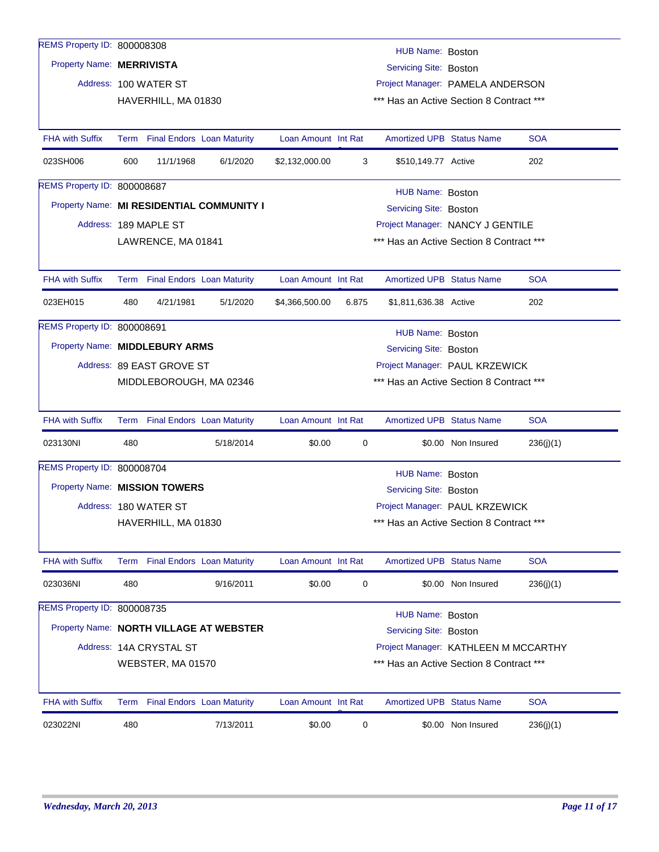| REMS Property ID: 800008308    |      |                                   |                                           |                                          |       |                                          |                    |            |
|--------------------------------|------|-----------------------------------|-------------------------------------------|------------------------------------------|-------|------------------------------------------|--------------------|------------|
| Property Name: MERRIVISTA      |      |                                   |                                           |                                          |       | HUB Name: Boston                         |                    |            |
|                                |      |                                   |                                           |                                          |       | Servicing Site: Boston                   |                    |            |
|                                |      | Address: 100 WATER ST             |                                           |                                          |       | Project Manager: PAMELA ANDERSON         |                    |            |
|                                |      | HAVERHILL, MA 01830               |                                           |                                          |       | *** Has an Active Section 8 Contract *** |                    |            |
| <b>FHA with Suffix</b>         |      | Term Final Endors Loan Maturity   |                                           | Loan Amount Int Rat                      |       | <b>Amortized UPB Status Name</b>         |                    | <b>SOA</b> |
| 023SH006                       | 600  | 11/1/1968                         | 6/1/2020                                  | \$2,132,000.00                           | 3     | \$510,149.77 Active                      |                    | 202        |
| REMS Property ID: 800008687    |      |                                   |                                           |                                          |       | HUB Name: Boston                         |                    |            |
|                                |      |                                   | Property Name: MI RESIDENTIAL COMMUNITY I |                                          |       | Servicing Site: Boston                   |                    |            |
|                                |      | Address: 189 MAPLE ST             |                                           |                                          |       | Project Manager: NANCY J GENTILE         |                    |            |
|                                |      | LAWRENCE, MA 01841                |                                           |                                          |       | *** Has an Active Section 8 Contract *** |                    |            |
|                                |      |                                   |                                           |                                          |       |                                          |                    |            |
| <b>FHA with Suffix</b>         |      | Term Final Endors Loan Maturity   |                                           | Loan Amount Int Rat                      |       | <b>Amortized UPB Status Name</b>         |                    | <b>SOA</b> |
| 023EH015                       | 480  | 4/21/1981                         | 5/1/2020                                  | \$4,366,500.00                           | 6.875 | \$1,811,636.38 Active                    |                    | 202        |
| REMS Property ID: 800008691    |      |                                   |                                           |                                          |       | HUB Name: Boston                         |                    |            |
| Property Name: MIDDLEBURY ARMS |      |                                   |                                           |                                          |       | Servicing Site: Boston                   |                    |            |
|                                |      | Address: 89 EAST GROVE ST         |                                           |                                          |       | Project Manager: PAUL KRZEWICK           |                    |            |
|                                |      | MIDDLEBOROUGH, MA 02346           |                                           | *** Has an Active Section 8 Contract *** |       |                                          |                    |            |
|                                |      |                                   |                                           |                                          |       |                                          |                    |            |
| <b>FHA with Suffix</b>         |      | Term Final Endors Loan Maturity   |                                           | Loan Amount Int Rat                      |       | <b>Amortized UPB Status Name</b>         |                    | <b>SOA</b> |
| 023130NI                       | 480  |                                   | 5/18/2014                                 | \$0.00                                   | 0     |                                          | \$0.00 Non Insured | 236(j)(1)  |
| REMS Property ID: 800008704    |      |                                   |                                           |                                          |       | HUB Name: Boston                         |                    |            |
| Property Name: MISSION TOWERS  |      |                                   |                                           |                                          |       | Servicing Site: Boston                   |                    |            |
|                                |      | Address: 180 WATER ST             |                                           |                                          |       | Project Manager: PAUL KRZEWICK           |                    |            |
|                                |      | HAVERHILL, MA 01830               |                                           |                                          |       | *** Has an Active Section 8 Contract *** |                    |            |
| <b>FHA with Suffix</b>         |      | Term Final Endors Loan Maturity   |                                           | Loan Amount Int Rat                      |       | <b>Amortized UPB Status Name</b>         |                    | <b>SOA</b> |
| 023036NI                       | 480  |                                   | 9/16/2011                                 | \$0.00                                   | 0     |                                          | \$0.00 Non Insured | 236(j)(1)  |
| REMS Property ID: 800008735    |      |                                   |                                           |                                          |       | HUB Name: Boston                         |                    |            |
|                                |      |                                   | Property Name: NORTH VILLAGE AT WEBSTER   |                                          |       | Servicing Site: Boston                   |                    |            |
|                                |      | Address: 14A CRYSTAL ST           |                                           |                                          |       | Project Manager: KATHLEEN M MCCARTHY     |                    |            |
|                                |      | WEBSTER, MA 01570                 |                                           |                                          |       | *** Has an Active Section 8 Contract *** |                    |            |
|                                |      |                                   |                                           |                                          |       |                                          |                    |            |
| <b>FHA with Suffix</b>         | Term | <b>Final Endors Loan Maturity</b> |                                           | Loan Amount Int Rat                      |       | <b>Amortized UPB Status Name</b>         |                    | <b>SOA</b> |
| 023022NI                       | 480  |                                   | 7/13/2011                                 | \$0.00                                   | 0     |                                          | \$0.00 Non Insured | 236(j)(1)  |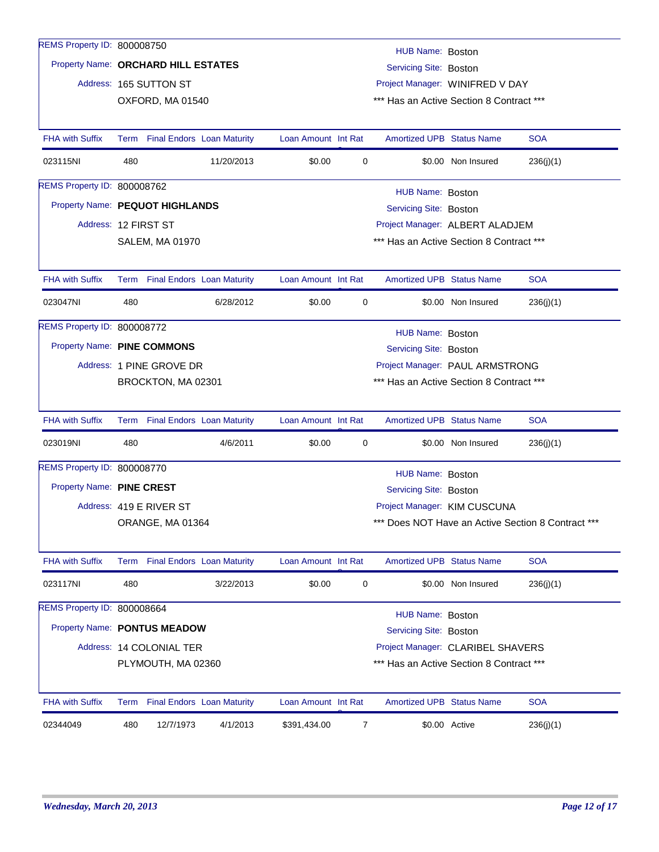| REMS Property ID: 800008750         |                                                                |                                 |                                 |                     |   | HUB Name: Boston                         |                    |                                                    |  |
|-------------------------------------|----------------------------------------------------------------|---------------------------------|---------------------------------|---------------------|---|------------------------------------------|--------------------|----------------------------------------------------|--|
| Property Name: ORCHARD HILL ESTATES |                                                                |                                 |                                 |                     |   | <b>Servicing Site: Boston</b>            |                    |                                                    |  |
|                                     |                                                                | Address: 165 SUTTON ST          |                                 |                     |   | Project Manager: WINIFRED V DAY          |                    |                                                    |  |
|                                     |                                                                | OXFORD, MA 01540                |                                 |                     |   | *** Has an Active Section 8 Contract *** |                    |                                                    |  |
|                                     |                                                                |                                 |                                 |                     |   |                                          |                    |                                                    |  |
| <b>FHA with Suffix</b>              |                                                                | Term Final Endors Loan Maturity |                                 | Loan Amount Int Rat |   | <b>Amortized UPB Status Name</b>         |                    | <b>SOA</b>                                         |  |
| 023115NI                            | 480                                                            |                                 | 11/20/2013                      | \$0.00              | 0 |                                          | \$0.00 Non Insured | 236(j)(1)                                          |  |
| REMS Property ID: 800008762         |                                                                |                                 |                                 |                     |   | HUB Name: Boston                         |                    |                                                    |  |
| Property Name: PEQUOT HIGHLANDS     |                                                                |                                 |                                 |                     |   | Servicing Site: Boston                   |                    |                                                    |  |
|                                     | Project Manager: ALBERT ALADJEM<br>Address: 12 FIRST ST        |                                 |                                 |                     |   |                                          |                    |                                                    |  |
|                                     | *** Has an Active Section 8 Contract ***<br>SALEM, MA 01970    |                                 |                                 |                     |   |                                          |                    |                                                    |  |
|                                     |                                                                |                                 |                                 |                     |   |                                          |                    |                                                    |  |
| <b>FHA with Suffix</b>              |                                                                |                                 | Term Final Endors Loan Maturity | Loan Amount Int Rat |   | <b>Amortized UPB Status Name</b>         |                    | <b>SOA</b>                                         |  |
| 023047NI                            | 480                                                            |                                 | 6/28/2012                       | \$0.00              | 0 |                                          | \$0.00 Non Insured | 236(j)(1)                                          |  |
| REMS Property ID: 800008772         |                                                                |                                 |                                 |                     |   | HUB Name: Boston                         |                    |                                                    |  |
| Property Name: PINE COMMONS         |                                                                |                                 |                                 |                     |   | Servicing Site: Boston                   |                    |                                                    |  |
|                                     |                                                                | Address: 1 PINE GROVE DR        |                                 |                     |   | Project Manager: PAUL ARMSTRONG          |                    |                                                    |  |
|                                     | *** Has an Active Section 8 Contract ***<br>BROCKTON, MA 02301 |                                 |                                 |                     |   |                                          |                    |                                                    |  |
|                                     |                                                                |                                 |                                 |                     |   |                                          |                    |                                                    |  |
| <b>FHA with Suffix</b>              |                                                                |                                 | Term Final Endors Loan Maturity | Loan Amount Int Rat |   | <b>Amortized UPB Status Name</b>         |                    | <b>SOA</b>                                         |  |
| 023019NI                            | 480                                                            |                                 | 4/6/2011                        | \$0.00              | 0 |                                          | \$0.00 Non Insured | 236(j)(1)                                          |  |
| REMS Property ID: 800008770         |                                                                |                                 |                                 |                     |   | HUB Name: Boston                         |                    |                                                    |  |
| Property Name: PINE CREST           |                                                                |                                 |                                 |                     |   | Servicing Site: Boston                   |                    |                                                    |  |
|                                     |                                                                | Address: 419 E RIVER ST         |                                 |                     |   | Project Manager: KIM CUSCUNA             |                    |                                                    |  |
|                                     |                                                                | ORANGE, MA 01364                |                                 |                     |   |                                          |                    | *** Does NOT Have an Active Section 8 Contract *** |  |
|                                     |                                                                |                                 |                                 |                     |   |                                          |                    |                                                    |  |
| <b>FHA with Suffix</b>              |                                                                | Term Final Endors Loan Maturity |                                 | Loan Amount Int Rat |   | <b>Amortized UPB Status Name</b>         |                    | <b>SOA</b>                                         |  |
| 023117NI                            | 480                                                            |                                 | 3/22/2013                       | \$0.00              | 0 |                                          | \$0.00 Non Insured | 236(j)(1)                                          |  |
| REMS Property ID: 800008664         |                                                                |                                 |                                 |                     |   | HUB Name: Boston                         |                    |                                                    |  |
| Property Name: PONTUS MEADOW        |                                                                |                                 |                                 |                     |   | Servicing Site: Boston                   |                    |                                                    |  |
|                                     |                                                                | Address: 14 COLONIAL TER        |                                 |                     |   | Project Manager: CLARIBEL SHAVERS        |                    |                                                    |  |
|                                     |                                                                | PLYMOUTH, MA 02360              |                                 |                     |   | *** Has an Active Section 8 Contract *** |                    |                                                    |  |
|                                     |                                                                |                                 |                                 |                     |   |                                          |                    |                                                    |  |
| <b>FHA with Suffix</b>              |                                                                | Term Final Endors Loan Maturity |                                 | Loan Amount Int Rat |   | <b>Amortized UPB Status Name</b>         |                    | <b>SOA</b>                                         |  |
| 02344049                            | 480                                                            | 12/7/1973                       | 4/1/2013                        | \$391,434.00        | 7 |                                          | \$0.00 Active      | 236(j)(1)                                          |  |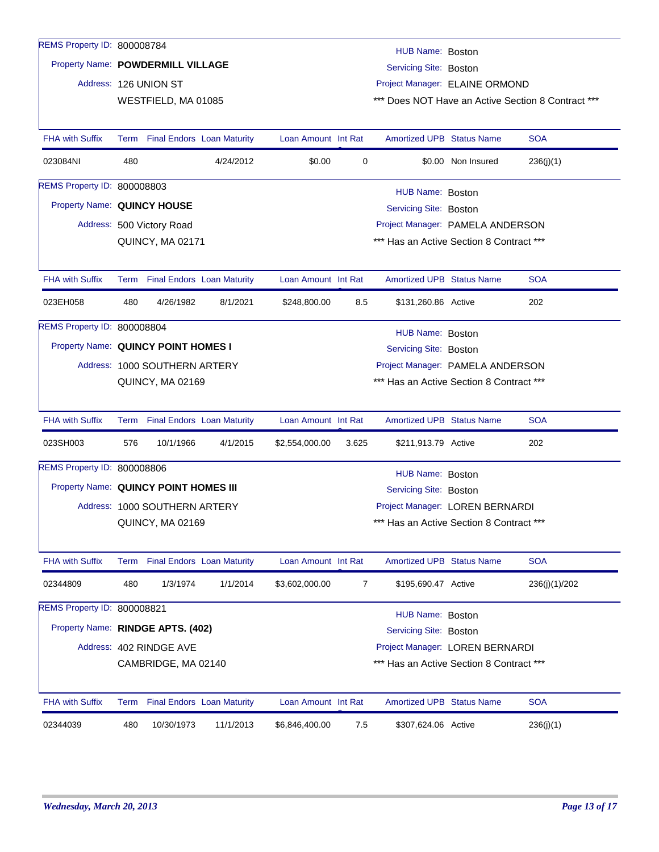| REMS Property ID: 800008784           |     |                               |                                 |                     |             | HUB Name: Boston                         |                    |                                                    |
|---------------------------------------|-----|-------------------------------|---------------------------------|---------------------|-------------|------------------------------------------|--------------------|----------------------------------------------------|
| Property Name: POWDERMILL VILLAGE     |     |                               |                                 |                     |             | Servicing Site: Boston                   |                    |                                                    |
|                                       |     | Address: 126 UNION ST         |                                 |                     |             | Project Manager: ELAINE ORMOND           |                    |                                                    |
|                                       |     | WESTFIELD, MA 01085           |                                 |                     |             |                                          |                    | *** Does NOT Have an Active Section 8 Contract *** |
|                                       |     |                               |                                 |                     |             |                                          |                    |                                                    |
| <b>FHA with Suffix</b>                |     |                               | Term Final Endors Loan Maturity | Loan Amount Int Rat |             | <b>Amortized UPB Status Name</b>         |                    | <b>SOA</b>                                         |
| 023084NI                              | 480 |                               | 4/24/2012                       | \$0.00              | $\mathbf 0$ |                                          | \$0.00 Non Insured | 236(j)(1)                                          |
| <b>REMS Property ID: 800008803</b>    |     |                               |                                 |                     |             | HUB Name: Boston                         |                    |                                                    |
| Property Name: QUINCY HOUSE           |     |                               |                                 |                     |             | Servicing Site: Boston                   |                    |                                                    |
|                                       |     | Address: 500 Victory Road     |                                 |                     |             | Project Manager: PAMELA ANDERSON         |                    |                                                    |
|                                       |     | QUINCY, MA 02171              |                                 |                     |             | *** Has an Active Section 8 Contract *** |                    |                                                    |
|                                       |     |                               |                                 |                     |             |                                          |                    |                                                    |
| <b>FHA with Suffix</b>                |     |                               | Term Final Endors Loan Maturity | Loan Amount Int Rat |             | <b>Amortized UPB Status Name</b>         |                    | <b>SOA</b>                                         |
| 023EH058                              | 480 | 4/26/1982                     | 8/1/2021                        | \$248,800.00        | 8.5         | \$131,260.86 Active                      |                    | 202                                                |
| REMS Property ID: 800008804           |     |                               |                                 |                     |             | HUB Name: Boston                         |                    |                                                    |
| Property Name: QUINCY POINT HOMES I   |     |                               |                                 |                     |             | <b>Servicing Site: Boston</b>            |                    |                                                    |
|                                       |     | Address: 1000 SOUTHERN ARTERY |                                 |                     |             | Project Manager: PAMELA ANDERSON         |                    |                                                    |
|                                       |     | QUINCY, MA 02169              |                                 |                     |             | *** Has an Active Section 8 Contract *** |                    |                                                    |
|                                       |     |                               |                                 |                     |             |                                          |                    |                                                    |
| <b>FHA with Suffix</b>                |     |                               | Term Final Endors Loan Maturity | Loan Amount Int Rat |             | <b>Amortized UPB Status Name</b>         |                    | <b>SOA</b>                                         |
| 023SH003                              | 576 | 10/1/1966                     | 4/1/2015                        | \$2,554,000.00      | 3.625       | \$211,913.79 Active                      |                    | 202                                                |
| REMS Property ID: 800008806           |     |                               |                                 |                     |             | HUB Name: Boston                         |                    |                                                    |
| Property Name: QUINCY POINT HOMES III |     |                               |                                 |                     |             | Servicing Site: Boston                   |                    |                                                    |
|                                       |     | Address: 1000 SOUTHERN ARTERY |                                 |                     |             | Project Manager: LOREN BERNARDI          |                    |                                                    |
|                                       |     | QUINCY, MA 02169              |                                 |                     |             | *** Has an Active Section 8 Contract *** |                    |                                                    |
|                                       |     |                               |                                 |                     |             |                                          |                    |                                                    |
| <b>FHA with Suffix</b>                |     |                               | Term Final Endors Loan Maturity | Loan Amount Int Rat |             | <b>Amortized UPB Status Name</b>         |                    | <b>SOA</b>                                         |
| 02344809                              | 480 | 1/3/1974                      | 1/1/2014                        | \$3,602,000.00      | 7           | \$195,690.47 Active                      |                    | 236(j)(1)/202                                      |
| REMS Property ID: 800008821           |     |                               |                                 |                     |             | HUB Name: Boston                         |                    |                                                    |
| Property Name: RINDGE APTS. (402)     |     |                               |                                 |                     |             | Servicing Site: Boston                   |                    |                                                    |
|                                       |     | Address: 402 RINDGE AVE       |                                 |                     |             | Project Manager: LOREN BERNARDI          |                    |                                                    |
|                                       |     | CAMBRIDGE, MA 02140           |                                 |                     |             | *** Has an Active Section 8 Contract *** |                    |                                                    |
|                                       |     |                               |                                 |                     |             |                                          |                    |                                                    |
| <b>FHA with Suffix</b>                |     |                               | Term Final Endors Loan Maturity | Loan Amount Int Rat |             | <b>Amortized UPB Status Name</b>         |                    | <b>SOA</b>                                         |
| 02344039                              | 480 | 10/30/1973                    | 11/1/2013                       | \$6,846,400.00      | 7.5         | \$307,624.06 Active                      |                    | 236(j)(1)                                          |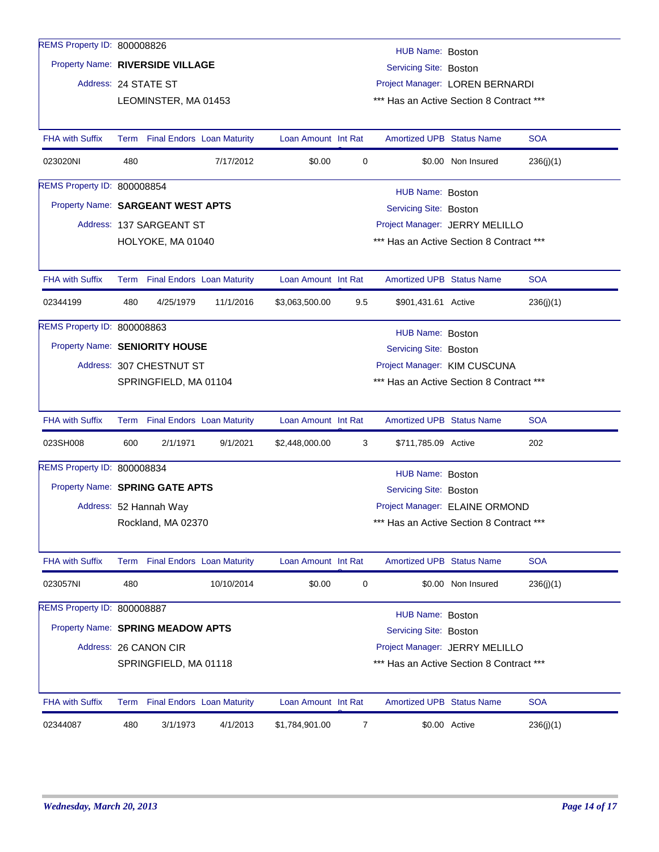| REMS Property ID: 800008826        |      |                                   |            |                     |                                            | HUB Name: Boston                         |                    |            |  |  |
|------------------------------------|------|-----------------------------------|------------|---------------------|--------------------------------------------|------------------------------------------|--------------------|------------|--|--|
| Property Name: RIVERSIDE VILLAGE   |      |                                   |            |                     |                                            | Servicing Site: Boston                   |                    |            |  |  |
|                                    |      | Address: 24 STATE ST              |            |                     |                                            | Project Manager: LOREN BERNARDI          |                    |            |  |  |
|                                    |      | LEOMINSTER, MA 01453              |            |                     |                                            | *** Has an Active Section 8 Contract *** |                    |            |  |  |
|                                    |      |                                   |            |                     |                                            |                                          |                    |            |  |  |
| <b>FHA with Suffix</b>             |      | Term Final Endors Loan Maturity   |            | Loan Amount Int Rat |                                            | <b>Amortized UPB Status Name</b>         |                    | <b>SOA</b> |  |  |
| 023020NI                           | 480  |                                   | 7/17/2012  | \$0.00              | 0                                          |                                          | \$0.00 Non Insured | 236(j)(1)  |  |  |
| REMS Property ID: 800008854        |      |                                   |            |                     |                                            |                                          |                    |            |  |  |
| Property Name: SARGEANT WEST APTS  |      |                                   |            |                     | HUB Name: Boston<br>Servicing Site: Boston |                                          |                    |            |  |  |
|                                    |      | Address: 137 SARGEANT ST          |            |                     |                                            | Project Manager: JERRY MELILLO           |                    |            |  |  |
|                                    |      | HOLYOKE, MA 01040                 |            |                     |                                            | *** Has an Active Section 8 Contract *** |                    |            |  |  |
|                                    |      |                                   |            |                     |                                            |                                          |                    |            |  |  |
| <b>FHA with Suffix</b>             |      | Term Final Endors Loan Maturity   |            | Loan Amount Int Rat |                                            | <b>Amortized UPB Status Name</b>         |                    | <b>SOA</b> |  |  |
| 02344199                           | 480  | 4/25/1979                         | 11/1/2016  | \$3,063,500.00      | 9.5                                        | \$901,431.61 Active                      |                    | 236(j)(1)  |  |  |
| <b>REMS Property ID: 800008863</b> |      |                                   |            |                     |                                            | HUB Name: Boston                         |                    |            |  |  |
| Property Name: SENIORITY HOUSE     |      |                                   |            |                     |                                            | Servicing Site: Boston                   |                    |            |  |  |
|                                    |      | Address: 307 CHESTNUT ST          |            |                     |                                            | Project Manager: KIM CUSCUNA             |                    |            |  |  |
|                                    |      | SPRINGFIELD, MA 01104             |            |                     |                                            | *** Has an Active Section 8 Contract *** |                    |            |  |  |
|                                    |      |                                   |            |                     |                                            |                                          |                    |            |  |  |
| <b>FHA with Suffix</b>             | Term | <b>Final Endors Loan Maturity</b> |            | Loan Amount Int Rat |                                            | <b>Amortized UPB Status Name</b>         |                    | <b>SOA</b> |  |  |
| 023SH008                           | 600  | 2/1/1971                          | 9/1/2021   | \$2,448,000.00      | 3                                          | \$711,785.09 Active                      |                    | 202        |  |  |
| REMS Property ID: 800008834        |      |                                   |            |                     |                                            | HUB Name: Boston                         |                    |            |  |  |
| Property Name: SPRING GATE APTS    |      |                                   |            |                     |                                            | Servicing Site: Boston                   |                    |            |  |  |
|                                    |      | Address: 52 Hannah Way            |            |                     |                                            | Project Manager: ELAINE ORMOND           |                    |            |  |  |
|                                    |      | Rockland, MA 02370                |            |                     |                                            | *** Has an Active Section 8 Contract *** |                    |            |  |  |
|                                    |      |                                   |            |                     |                                            |                                          |                    |            |  |  |
| FHA with Suffix                    |      | Term Final Endors Loan Maturity   |            | Loan Amount Int Rat |                                            | Amortized UPB Status Name                |                    | <b>SOA</b> |  |  |
| 023057NI                           | 480  |                                   | 10/10/2014 | \$0.00              | 0                                          |                                          | \$0.00 Non Insured | 236(j)(1)  |  |  |
| REMS Property ID: 800008887        |      |                                   |            |                     |                                            | <b>HUB Name: Boston</b>                  |                    |            |  |  |
| Property Name: SPRING MEADOW APTS  |      |                                   |            |                     |                                            | Servicing Site: Boston                   |                    |            |  |  |
|                                    |      | Address: 26 CANON CIR             |            |                     |                                            | Project Manager: JERRY MELILLO           |                    |            |  |  |
|                                    |      | SPRINGFIELD, MA 01118             |            |                     |                                            | *** Has an Active Section 8 Contract *** |                    |            |  |  |
|                                    |      |                                   |            |                     |                                            |                                          |                    |            |  |  |
| <b>FHA with Suffix</b>             |      | Term Final Endors Loan Maturity   |            | Loan Amount Int Rat |                                            | <b>Amortized UPB Status Name</b>         |                    | <b>SOA</b> |  |  |
| 02344087                           | 480  | 3/1/1973                          | 4/1/2013   | \$1,784,901.00      | 7                                          |                                          | \$0.00 Active      | 236(j)(1)  |  |  |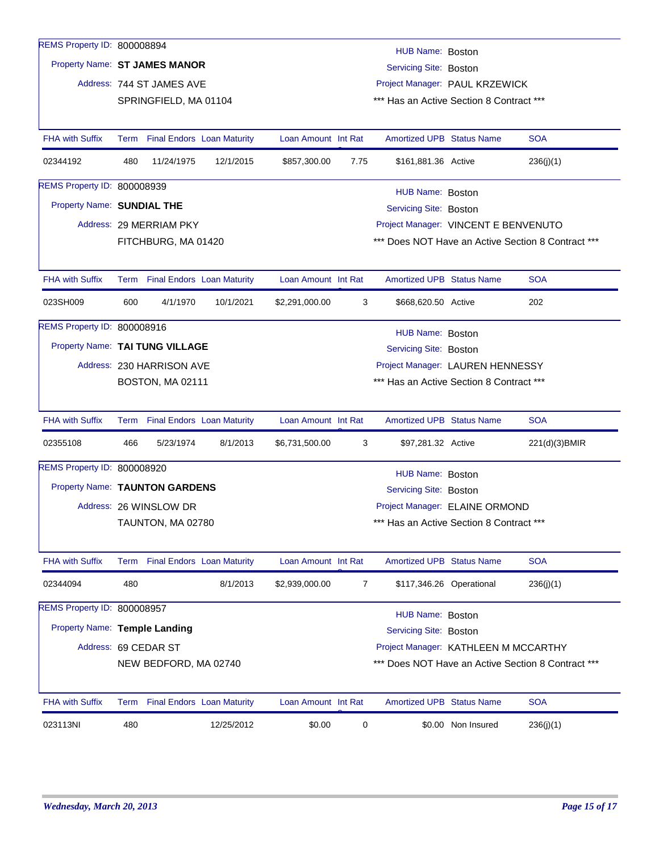| REMS Property ID: 800008894        |                                                             |                                 |            |                     |      |                                          |                          |                                                    |
|------------------------------------|-------------------------------------------------------------|---------------------------------|------------|---------------------|------|------------------------------------------|--------------------------|----------------------------------------------------|
|                                    |                                                             |                                 |            |                     |      | HUB Name: Boston                         |                          |                                                    |
|                                    | Property Name: ST JAMES MANOR<br>Servicing Site: Boston     |                                 |            |                     |      |                                          |                          |                                                    |
|                                    | Address: 744 ST JAMES AVE<br>Project Manager: PAUL KRZEWICK |                                 |            |                     |      |                                          |                          |                                                    |
|                                    |                                                             | SPRINGFIELD, MA 01104           |            |                     |      | *** Has an Active Section 8 Contract *** |                          |                                                    |
|                                    |                                                             |                                 |            |                     |      |                                          |                          |                                                    |
| <b>FHA with Suffix</b>             |                                                             | Term Final Endors Loan Maturity |            | Loan Amount Int Rat |      | <b>Amortized UPB Status Name</b>         |                          | <b>SOA</b>                                         |
| 02344192                           | 480                                                         | 11/24/1975                      | 12/1/2015  | \$857,300.00        | 7.75 | \$161,881.36 Active                      |                          | 236(j)(1)                                          |
| <b>REMS Property ID: 800008939</b> |                                                             |                                 |            |                     |      | HUB Name: Boston                         |                          |                                                    |
| Property Name: SUNDIAL THE         |                                                             |                                 |            |                     |      | Servicing Site: Boston                   |                          |                                                    |
|                                    |                                                             | Address: 29 MERRIAM PKY         |            |                     |      | Project Manager: VINCENT E BENVENUTO     |                          |                                                    |
|                                    |                                                             | FITCHBURG, MA 01420             |            |                     |      |                                          |                          | *** Does NOT Have an Active Section 8 Contract *** |
|                                    |                                                             |                                 |            |                     |      |                                          |                          |                                                    |
| <b>FHA with Suffix</b>             |                                                             | Term Final Endors Loan Maturity |            | Loan Amount Int Rat |      | <b>Amortized UPB Status Name</b>         |                          | <b>SOA</b>                                         |
| 023SH009                           | 600                                                         | 4/1/1970                        | 10/1/2021  | \$2,291,000.00      | 3    | \$668,620.50 Active                      |                          | 202                                                |
| REMS Property ID: 800008916        |                                                             |                                 |            |                     |      | HUB Name: Boston                         |                          |                                                    |
| Property Name: TAI TUNG VILLAGE    |                                                             |                                 |            |                     |      | <b>Servicing Site: Boston</b>            |                          |                                                    |
|                                    |                                                             | Address: 230 HARRISON AVE       |            |                     |      | Project Manager: LAUREN HENNESSY         |                          |                                                    |
|                                    |                                                             | BOSTON, MA 02111                |            |                     |      | *** Has an Active Section 8 Contract *** |                          |                                                    |
|                                    |                                                             |                                 |            |                     |      |                                          |                          |                                                    |
| <b>FHA with Suffix</b>             |                                                             | Term Final Endors Loan Maturity |            | Loan Amount Int Rat |      | <b>Amortized UPB Status Name</b>         |                          | <b>SOA</b>                                         |
| 02355108                           | 466                                                         | 5/23/1974                       | 8/1/2013   | \$6,731,500.00      | 3    | \$97,281.32 Active                       |                          | 221(d)(3)BMIR                                      |
| REMS Property ID: 800008920        |                                                             |                                 |            |                     |      | HUB Name: Boston                         |                          |                                                    |
| Property Name: TAUNTON GARDENS     |                                                             |                                 |            |                     |      | Servicing Site: Boston                   |                          |                                                    |
|                                    |                                                             | Address: 26 WINSLOW DR          |            |                     |      | Project Manager: ELAINE ORMOND           |                          |                                                    |
|                                    |                                                             | TAUNTON, MA 02780               |            |                     |      | *** Has an Active Section 8 Contract *** |                          |                                                    |
|                                    |                                                             |                                 |            |                     |      |                                          |                          |                                                    |
| FHA with Suffix                    |                                                             | Term Final Endors Loan Maturity |            | Loan Amount Int Rat |      | <b>Amortized UPB Status Name</b>         |                          | <b>SOA</b>                                         |
| 02344094                           | 480                                                         |                                 | 8/1/2013   | \$2,939,000.00      | 7    |                                          | \$117,346.26 Operational | 236(j)(1)                                          |
| REMS Property ID: 800008957        |                                                             |                                 |            |                     |      | HUB Name: Boston                         |                          |                                                    |
| Property Name: Temple Landing      |                                                             |                                 |            |                     |      | <b>Servicing Site: Boston</b>            |                          |                                                    |
|                                    |                                                             | Address: 69 CEDAR ST            |            |                     |      | Project Manager: KATHLEEN M MCCARTHY     |                          |                                                    |
|                                    |                                                             | NEW BEDFORD, MA 02740           |            |                     |      |                                          |                          | *** Does NOT Have an Active Section 8 Contract *** |
|                                    |                                                             |                                 |            |                     |      |                                          |                          |                                                    |
| <b>FHA with Suffix</b>             |                                                             | Term Final Endors Loan Maturity |            | Loan Amount Int Rat |      | <b>Amortized UPB Status Name</b>         |                          | <b>SOA</b>                                         |
| 023113NI                           | 480                                                         |                                 | 12/25/2012 | \$0.00              | 0    |                                          | \$0.00 Non Insured       | 236(j)(1)                                          |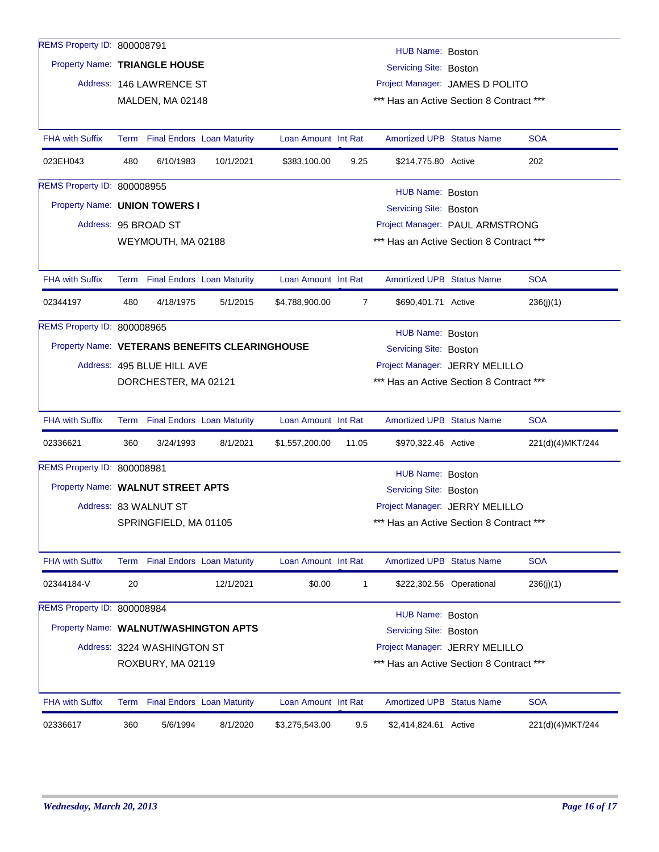| REMS Property ID: 800008791           |     |                                 |                                                |                                 |                | HUB Name: Boston                         |                          |                  |  |  |
|---------------------------------------|-----|---------------------------------|------------------------------------------------|---------------------------------|----------------|------------------------------------------|--------------------------|------------------|--|--|
| Property Name: TRIANGLE HOUSE         |     |                                 |                                                |                                 |                | <b>Servicing Site: Boston</b>            |                          |                  |  |  |
|                                       |     | Address: 146 LAWRENCE ST        |                                                | Project Manager: JAMES D POLITO |                |                                          |                          |                  |  |  |
|                                       |     | MALDEN, MA 02148                |                                                |                                 |                | *** Has an Active Section 8 Contract *** |                          |                  |  |  |
|                                       |     |                                 |                                                |                                 |                |                                          |                          |                  |  |  |
| <b>FHA with Suffix</b>                |     | Term Final Endors Loan Maturity |                                                | Loan Amount Int Rat             |                | <b>Amortized UPB Status Name</b>         |                          | <b>SOA</b>       |  |  |
| 023EH043                              | 480 | 6/10/1983                       | 10/1/2021                                      | \$383,100.00                    | 9.25           | \$214,775.80 Active                      |                          | 202              |  |  |
| REMS Property ID: 800008955           |     |                                 |                                                |                                 |                | HUB Name: Boston                         |                          |                  |  |  |
| Property Name: UNION TOWERS I         |     |                                 |                                                |                                 |                | Servicing Site: Boston                   |                          |                  |  |  |
|                                       |     | Address: 95 BROAD ST            |                                                |                                 |                | Project Manager: PAUL ARMSTRONG          |                          |                  |  |  |
|                                       |     | WEYMOUTH, MA 02188              |                                                |                                 |                | *** Has an Active Section 8 Contract *** |                          |                  |  |  |
|                                       |     |                                 |                                                |                                 |                |                                          |                          |                  |  |  |
| <b>FHA with Suffix</b>                |     | Term Final Endors Loan Maturity |                                                | Loan Amount Int Rat             |                | <b>Amortized UPB Status Name</b>         |                          | <b>SOA</b>       |  |  |
| 02344197                              | 480 | 4/18/1975                       | 5/1/2015                                       | \$4,788,900.00                  | $\overline{7}$ | \$690,401.71 Active                      |                          | 236(j)(1)        |  |  |
| <b>REMS Property ID: 800008965</b>    |     |                                 |                                                |                                 |                | HUB Name: Boston                         |                          |                  |  |  |
|                                       |     |                                 | Property Name: VETERANS BENEFITS CLEARINGHOUSE |                                 |                | Servicing Site: Boston                   |                          |                  |  |  |
|                                       |     | Address: 495 BLUE HILL AVE      |                                                |                                 |                | Project Manager: JERRY MELILLO           |                          |                  |  |  |
|                                       |     | DORCHESTER, MA 02121            |                                                |                                 |                | *** Has an Active Section 8 Contract *** |                          |                  |  |  |
|                                       |     |                                 |                                                |                                 |                |                                          |                          |                  |  |  |
| <b>FHA with Suffix</b>                |     | Term Final Endors Loan Maturity |                                                | Loan Amount Int Rat             |                | <b>Amortized UPB Status Name</b>         |                          | <b>SOA</b>       |  |  |
| 02336621                              | 360 | 3/24/1993                       | 8/1/2021                                       | \$1,557,200.00                  | 11.05          | \$970,322.46 Active                      |                          | 221(d)(4)MKT/244 |  |  |
| REMS Property ID: 800008981           |     |                                 |                                                |                                 |                | HUB Name: Boston                         |                          |                  |  |  |
| Property Name: WALNUT STREET APTS     |     |                                 |                                                |                                 |                | Servicing Site: Boston                   |                          |                  |  |  |
|                                       |     | Address: 83 WALNUT ST           |                                                |                                 |                | Project Manager: JERRY MELILLO           |                          |                  |  |  |
|                                       |     | SPRINGFIELD, MA 01105           |                                                |                                 |                | *** Has an Active Section 8 Contract *** |                          |                  |  |  |
|                                       |     |                                 |                                                |                                 |                |                                          |                          |                  |  |  |
| FHA with Suffix                       |     | Term Final Endors Loan Maturity |                                                | Loan Amount Int Rat             |                | <b>Amortized UPB Status Name</b>         |                          | <b>SOA</b>       |  |  |
| 02344184-V                            | 20  |                                 | 12/1/2021                                      | \$0.00                          | 1              |                                          | \$222,302.56 Operational | 236(j)(1)        |  |  |
| REMS Property ID: 800008984           |     |                                 |                                                |                                 |                | <b>HUB Name: Boston</b>                  |                          |                  |  |  |
| Property Name: WALNUT/WASHINGTON APTS |     |                                 |                                                |                                 |                | Servicing Site: Boston                   |                          |                  |  |  |
|                                       |     | Address: 3224 WASHINGTON ST     |                                                |                                 |                | Project Manager: JERRY MELILLO           |                          |                  |  |  |
|                                       |     | ROXBURY, MA 02119               |                                                |                                 |                | *** Has an Active Section 8 Contract *** |                          |                  |  |  |
|                                       |     |                                 |                                                |                                 |                |                                          |                          |                  |  |  |
| <b>FHA with Suffix</b>                |     | Term Final Endors Loan Maturity |                                                | Loan Amount Int Rat             |                | <b>Amortized UPB Status Name</b>         |                          | <b>SOA</b>       |  |  |
| 02336617                              | 360 | 5/6/1994                        | 8/1/2020                                       | \$3,275,543.00                  | 9.5            | \$2,414,824.61 Active                    |                          | 221(d)(4)MKT/244 |  |  |